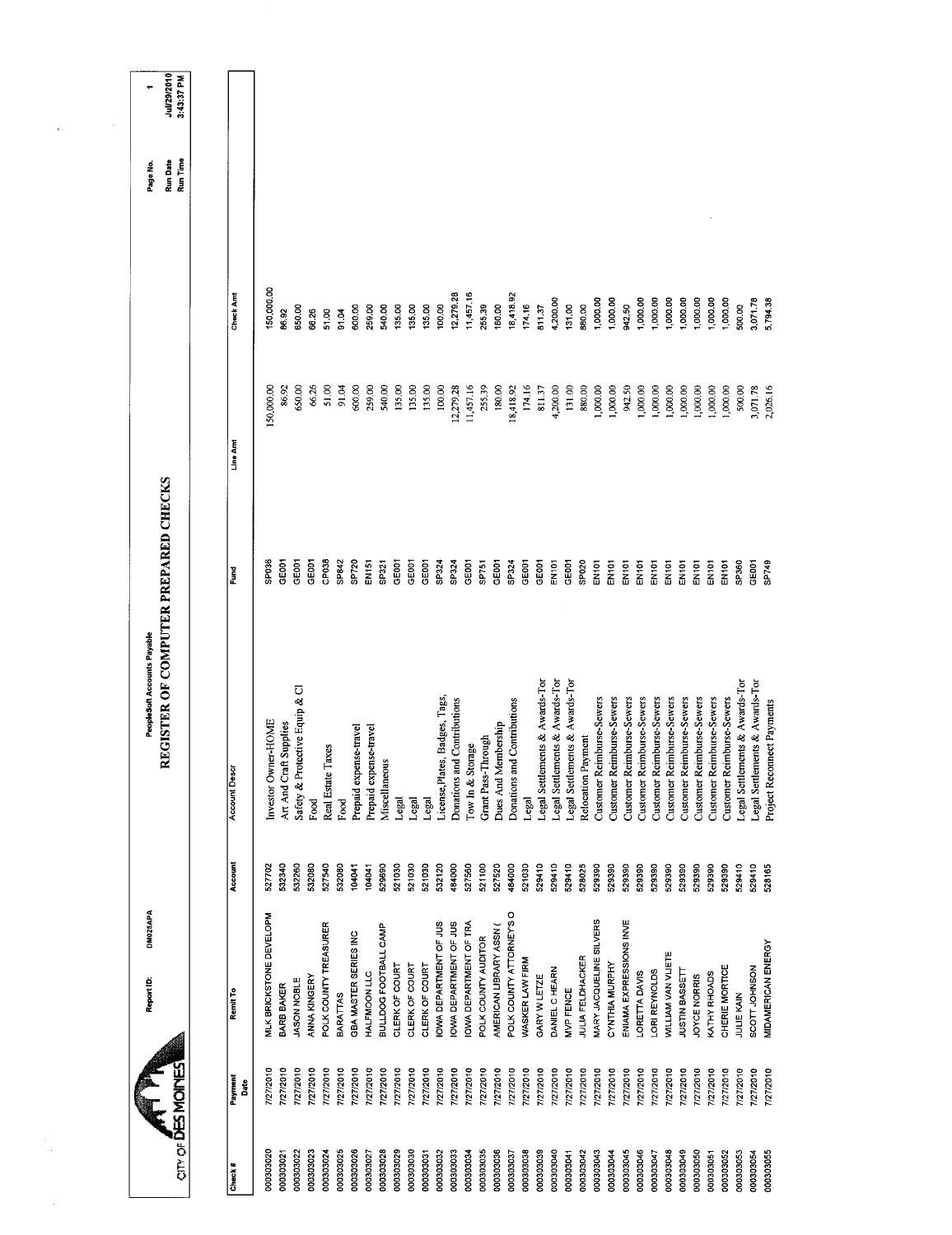| any of DES MOINES |                 | DM025APA<br>Report ID:        |         | REGISTER OF COMPUTER PREPARED CHECKS<br><b>PeopleSoft Accounts Payable</b> |              |            |            | Run Time<br>Run Date<br>Page No. | Jul/29/2010<br>3:43:37 PM |
|-------------------|-----------------|-------------------------------|---------|----------------------------------------------------------------------------|--------------|------------|------------|----------------------------------|---------------------------|
|                   |                 |                               |         |                                                                            |              |            |            |                                  |                           |
| Check#            | Payment<br>Date | Remit To                      | Account | <b>Account Descr</b>                                                       | Fund         | Line Amt   | Check Amt  |                                  |                           |
| 000303020         | 7/27/2010       | MLK BRICKSTONE DEVELOPM       | 527702  | Investor Owner-HOME                                                        | SP036        | 150,000.00 | 150,000.00 |                                  |                           |
| 000303021         | 7/27/2010       | BARB BAKER                    | 532340  | Art And Craft Supplies                                                     | GE001        | 86.92      | 86.92      |                                  |                           |
| 000303022         | 7/27/2010       | JASON NOBLE                   | 532260  | Safety & Protective Equip & Cl                                             | GE001        | 650,00     | 650.00     |                                  |                           |
| 000303023         | 7/27/2010       | <b>ANNA KINGERY</b>           | 532080  | Food                                                                       | GEOD1        | 66.26      | 66.26      |                                  |                           |
| 000303024         | 7/27/2010       | POLK COUNTY TREASURER         | 527540  | axes<br>Real Estate T                                                      | CP038        | 51.00      | 51,00      |                                  |                           |
| 000303025         | 7/27/2010       | <b>BARATTAS</b>               | 532080  | Food                                                                       | SP842        | 91.04      | 91.04      |                                  |                           |
| 000303026         | 7/27/2010       | GBA MASTER SERIES INC         | 104041  | Prepaid expense-travel                                                     | SP720        | 600,00     | 600,00     |                                  |                           |
| 000303027         | 7/27/2010       | <b>HALFMOON LLC</b>           | 104041  | Prepaid expense-travel                                                     | EN151        | 259.00     | 259.00     |                                  |                           |
| 000303028         | 7/27/2010       | BULLDOG FOOTBALL CAMP         | 529690  | <b>Miscellaneous</b>                                                       | SP321        | 540,00     | 540.00     |                                  |                           |
| 000303029         | 7/27/2010       | CLERK OF COURT                | 521030  | Legal                                                                      | GE001        | 135.00     | 135.00     |                                  |                           |
| 000303030         | 7/27/2010       | CLERK OF COURT                | 521030  | Legal                                                                      | GE001        | 135.00     | 135.00     |                                  |                           |
| 000303031         | 7/27/2010       | CLERK OF COURT                | 521030  | Legal                                                                      | GE001        | 135.00     | 135.00     |                                  |                           |
| 000303032         | 7/27/2010       | <b>IOWA DEPARTMENT OF JUS</b> | 532120  | License, Plates, Badges, Tags,                                             | SP324        | 100.00     | 100.00     |                                  |                           |
| 000303033         | 7/27/2010       | OWA DEPARTMENT OF JUS         | 484000  | Donations and Contributions                                                | SP324        | 12,279.28  | 12,279.28  |                                  |                           |
| 000303034         | 7/27/2010       | <b>IOWA DEPARTMENT OF TRA</b> | 527560  | Tow In & Storage                                                           | GED01        | 11,457.16  | 11,457.16  |                                  |                           |
| 000303035         | 7/27/2010       | POLK COUNTY AUDITOR           | 521100  | Grant Pass-Through                                                         | SP751        | 255.39     | 255,39     |                                  |                           |
| 000303036         | 7/27/2010       | AMERICAN LIBRARY ASSN (       | 527520  | Dues And Membership                                                        | GE001        | 180.00     | 180.00     |                                  |                           |
| 000303037         | 7/27/2010       | POLK COUNTY ATTORNEY'S O      | 484000  | Donations and Contributions                                                | SP324        | 18,418.92  | 18,418.92  |                                  |                           |
| 000303038         | 7/27/2010       | WASKER LAW FIRM               | 521030  | Legal                                                                      | GE001        | 174.16     | 174.16     |                                  |                           |
| 000303039         | 7/27/2010       | GARY W LETZE                  | 529410  | Legal Settlements & Awards-Tor                                             | GE001        | 81137      | 811.37     |                                  |                           |
| 000303040         | 7/27/2010       | DANIEL C HEARN                | 529410  | Legal Settlements & Awards-Tor                                             | <b>EN101</b> | 4,200.00   | 4,200.00   |                                  |                           |
| 000303041         | 7/27/2010       | MVP FENCE                     | 529410  | Legal Settlements & Awards-Tor                                             | GE001        | 131.00     | 131.00     |                                  |                           |
| 000303042         | 7/27/2010       | JULIA FELDHACKER              | 528025  | Relocation Payment                                                         | SP020        | 880.00     | 880,00     |                                  |                           |
| 000303043         | 7/27/2010       | MARY JACQUELINE SILVERS       | 529390  | Customer Reimburse-Sewers                                                  | EN101        | ,000.00    | 1,000.00   |                                  |                           |
| 000303044         | 7/27/2010       | CYNTHIA MURPHY                | 529390  | Customer Reimburse-Sewers                                                  | EN101        | 1,000.00   | 1,000.00   |                                  |                           |
| 000303045         | 7/27/2010       | ENIAMA EXPRESSIONS INVE       | 529390  | Customer Reimburse-Sewers                                                  | EN101        | 942.50     | 942.50     |                                  |                           |
| 000303046         | 7/27/2010       | LORETTA DAVIS                 | 529390  | Customer Reimburse-Sewers                                                  | EN101        | 00.000,1   | 1,000,00   |                                  |                           |
| 000303047         | 7/27/2010       | LORI REYNOLDS                 | 529390  | Customer Reimburse-Sewers                                                  | EN101        | 1,000.00   | 1,000.00   |                                  |                           |
| 000303048         | 7/27/2010       | <b>WILLIAM VAN VLIETE</b>     | 529390  | Customer Reimburse-Sewers                                                  | EN101        | 1,000.00   | 1,000.00   |                                  |                           |
| 000303049         | 7/27/2010       | JUSTIN BASSETT                | 529390  | Customer Reimburse-Sewers                                                  | EN101        | 1,000.00   | 1,000.00   |                                  |                           |
| 000303050         | 7/27/2010       | JOYCE NORRIS                  | 529390  | Customer Reimburse-Sewers                                                  | EN101        | 1,000.00   | 1,000.00   |                                  |                           |
| 000303051         | 7/27/2010       | KATHY RHOADS                  | 529390  | Customer Reimburse-Sewers                                                  | EN101        | 000,000,1  | 1,000.00   |                                  |                           |
| 000303052         | 7/27/2010       | CHERIE MORTICE                | 529390  | Customer Reimburse-Sewers                                                  | EN101        | 1,000.00   | 1,000.00   |                                  |                           |
| 000303053         | 7/27/2010       | JULIE KAIN                    | 529410  | Legal Settlements & Awards-Tor                                             | SP360        | 500.00     | 500.00     |                                  |                           |
| 000303054         | 7/27/2010       | SCOTT JOHNSON                 | 529410  | Legal Settlements & Awards-Tor                                             | GEOOT        | 3,071.78   | 3,071.78   |                                  |                           |
| 000303055         | 7/27/2010       | MIDAMERICAN ENERGY            | 528165  | Project Reconnect Payments                                                 | SP749        | 2,026.16   | 5,794.38   |                                  |                           |
|                   |                 |                               |         |                                                                            |              |            |            |                                  |                           |

 $\frac{1}{10}$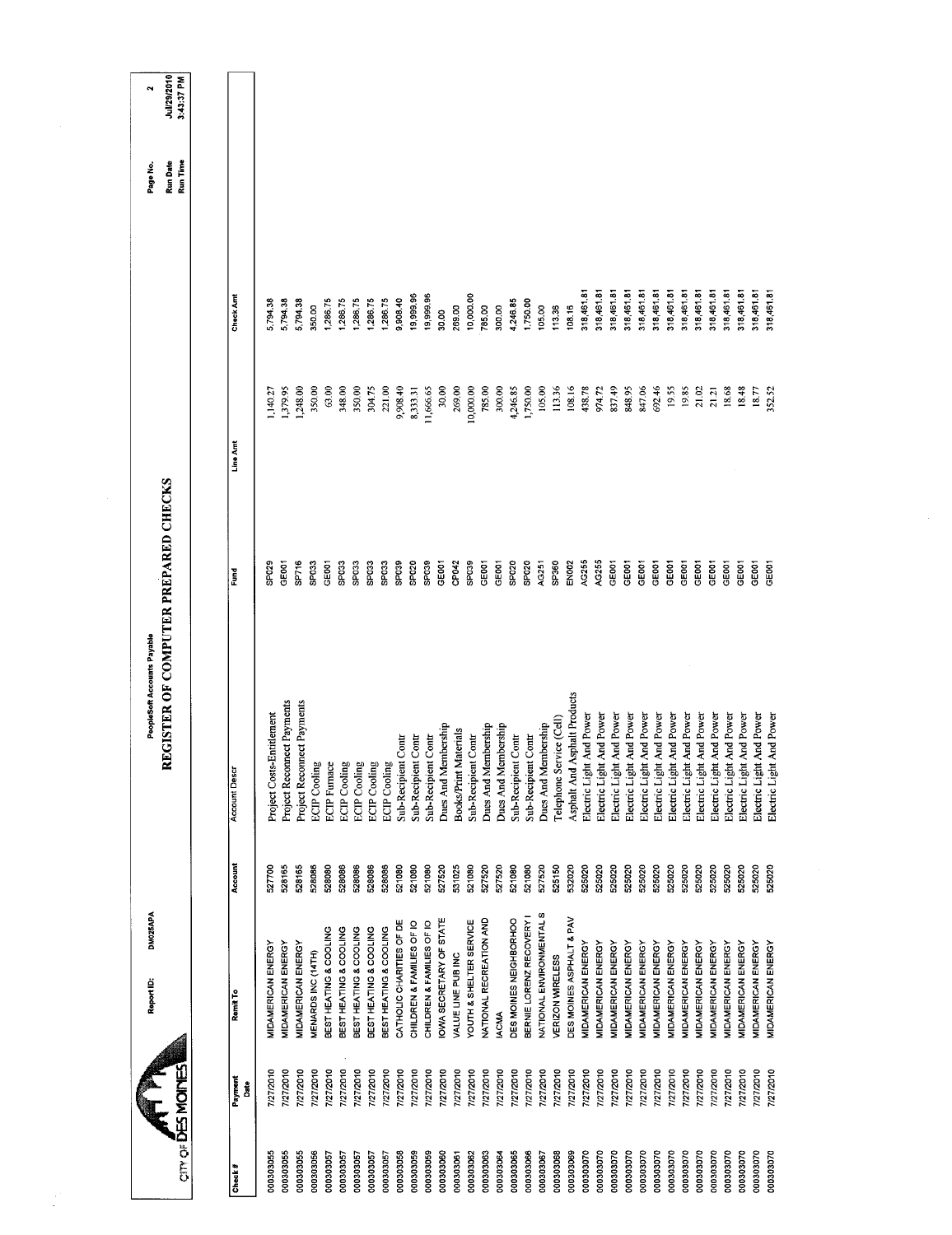|                        |                           | DM025APA<br>Report ID:                           |                  | PeopleSoft Accounts Payable                                  |                                      |                     |                          | Page No.                    | $\ddot{\phantom{0}}$      |
|------------------------|---------------------------|--------------------------------------------------|------------------|--------------------------------------------------------------|--------------------------------------|---------------------|--------------------------|-----------------------------|---------------------------|
|                        | <b>CITY OF DES MOINES</b> |                                                  |                  |                                                              | REGISTER OF COMPUTER PREPARED CHECKS |                     |                          | Run Time<br><b>Run Date</b> | Jul/29/2010<br>3:43:37 PM |
| Check#                 | Payment<br>å              | Remit To                                         | Account          | <b>Account Descr</b>                                         | Ĕund                                 | Line Amt            | Check Amt                |                             |                           |
| 000303055              | 7/27/2010                 | MIDAMERICAN ENERGY                               | 527700           | Project Costs-Entitlement                                    | SPO <sub>29</sub>                    | 1,140.27            | 5,794.38                 |                             |                           |
| 000303055              | 7/27/2010                 | <b>MIDAMERICAN ENERGY</b>                        | 528165           | Project Reconnect Payments                                   | GE <sub>001</sub>                    | 1,379.95            | 5,794.38                 |                             |                           |
| 000303055              | 7/27/2010                 | MIDAMERICAN ENERGY                               | 528165           | Project Reconnect Payments                                   | SP716                                | 1,248.00            | 5,794.38                 |                             |                           |
| 000303056              | 7/27/2010                 | MENARDS INC (14TH)                               | 528086           | <b>ECIP</b> Cooling                                          | SP <sub>033</sub>                    | 350.00              | 350.00                   |                             |                           |
| 000303057              | 7/27/2010                 | BEST HEATING & COOLING                           | 528080           | <b>ECIP</b> Funace                                           | GEDO1                                | 63.00               | 1,286,75                 |                             |                           |
| 000303057<br>000303057 | 7/27/2010<br>7/27/2010    | BEST HEATING & COOLING<br>BEST HEATING & COOLING | 528086<br>528086 |                                                              | SPO33<br>SP <sub>033</sub>           | 350.00<br>348.00    | 1,286.75<br>1,286.75     |                             |                           |
| 000303057              | 7/27/2010                 | BEST HEATING & COOLING                           | 528086           | ECIP Cooling<br>ECIP Cooling<br>ECIP Cooling<br>ECIP Cooling | SPO33                                | 304.75              | 1,286.75                 |                             |                           |
| 000303057              | 7/27/2010                 | BEST HEATING & COOLING                           | 528086           |                                                              | SP033                                | 221.00              | 1,286.75                 |                             |                           |
| 000303058              | 7/27/2010                 | CATHOLIC CHARITIES OF DE                         | 521080           | Sub-Recipient Contr                                          | SP <sub>039</sub>                    | 9,908.40            | 9,908.40                 |                             |                           |
| 000303059              | 7/27/2010                 | CHILDREN & FAMILIES OF IO                        | 521080           | Sub-Recipient Contr                                          | SP020                                | 8,333.31            | 19,999.96                |                             |                           |
| 000303059              | 7/27/2010                 | CHILDREN & FAMILIES OF IO                        | 521080           | Sub-Recipient Contr                                          | SPO39                                | 11,666.65           | 19,999.96                |                             |                           |
| 000303060              | 7/27/2010                 | OWA SECRETARY OF STATE                           | 527520           | Dues And Membership                                          | GE001<br>CP042                       | 30.00               | 269.00<br>30.00          |                             |                           |
| 000303062<br>000303061 | 7/27/2010<br>7/27/2010    | YOUTH & SHELTER SERVICE<br>VALUE LINE PUB INC    | 521080<br>531025 | <b>Books/Print Materials</b>                                 | SPO <sub>39</sub>                    | 269.00<br>10,000.00 | 10,000.00                |                             |                           |
| 000303063              | 7/27/2010                 | NATIONAL RECREATION AND                          | 527520           | Dues And Membership<br>Sub-Recipient Contr                   | GE001                                | 785.00              | 785.00                   |                             |                           |
| 000303064              | 7/27/2010                 | <b>IACMA</b>                                     | 527520           | Dues And Membership                                          | GE001                                | 300.00              | 300.00                   |                             |                           |
| 000303065              | 7/27/2010                 | DES MOINES NEIGHBORHOO                           | 521080           | Sub-Recipient Contr                                          | SP <sub>020</sub>                    | 4,246.85            | 4,246.85                 |                             |                           |
| 000303066              | 7/27/2010                 | BERNIE LORENZ RECOVERY I                         | 521080           | Sub-Recipient Contr                                          | SPO <sub>20</sub>                    | 1,750,00            | 1,750.00                 |                             |                           |
| 000303067              | 7/27/2010                 | NATIONAL ENVIRONMENTAL S                         | 527520           | Dues And Membership                                          | AG251                                | 105.00              | 105.00                   |                             |                           |
| 000303068<br>000303069 | 7/27/2010                 | DES MOINES ASPHALT & PAV<br>VERIZON WIRELESS     | 525150<br>532020 | Telephone Service (Cell)                                     | SP360<br><b>EN002</b>                | 113.36<br>108.16    | 113.36<br>108.16         |                             |                           |
| 000303070              | 7/27/2010<br>7/27/2010    | MIDAMERICAN ENERGY                               | 525020           | Asphalt And Asphalt Products<br>Electric Light And Power     | AG255                                | 438.78              | 318,461.81               |                             |                           |
| 000303070              | 7/27/2010                 | MIDAMERICAN ENERGY                               | 525020           | Electric Light And Power                                     | AG255                                | 974.72              | 318,461.81               |                             |                           |
| 000303070              | 7/27/2010                 | MIDAMERICAN ENERGY                               | 525020           | Electric Light And Power                                     | GE001                                | 837.49              | 318,461.81               |                             |                           |
| 000303070              | 7/27/2010                 | MIDAMERICAN ENERGY                               | 525020           | Electric Light And Power                                     | GE001                                | 848.95              | 318,461.81               |                             |                           |
| 000303070              | 7/27/2010                 | MIDAMERICAN ENERGY                               | 525020           | Electric Light And Power                                     | GE001<br>GE001                       | 847.06              | 318,461.81               |                             |                           |
| 000303070<br>000303070 | 7/27/2010                 | MIDAMERICAN ENERGY<br>MIDAMERICAN ENERGY         | 525020<br>525020 | Electric Light And Power                                     | GE001                                | 692.46<br>19.55     | 318,461.81<br>318,461.81 |                             |                           |
| 000303070              | 7/27/2010<br>7/27/2010    | MIDAMERICAN ENERGY                               | 525020           | Electric Light And Power<br>Electric Light And Power         | GE001                                | 19,85               | 318,461.81               |                             |                           |
| 000303070              | 7/27/2010                 | MIDAMERICAN ENERGY                               | 525020           | Electric Light And Power                                     | GE001                                | 21.02               | 318,461.81               |                             |                           |
| 000303070              | 7/27/2010                 | MIDAMERICAN ENERGY                               | 525020           | Electric Light And Power                                     | GE001                                | 21.21               | 318,461.81               |                             |                           |
| 000303070              | 127/2010                  | MIDAMERICAN ENERGY                               | 525020           | Electric Light And Power                                     | GE001                                | 18.68               | 318,461.81               |                             |                           |
| 000303070              | 7/27/2010                 | MIDAMERICAN ENERGY                               | 525020           | Electric Light And Power                                     | GE001                                | 18.48               | 318,461.81               |                             |                           |
| 000303070              | 7/27/2010                 | MIDAMERICAN ENERGY                               | 525020           | Electric Light And Power                                     | GE001                                | 18.77               | 318,461.81               |                             |                           |
| 000303070              | 7/27/2010                 | MIDAMERICAN ENERGY                               | 525020           | Electric Light And Power                                     | GE001                                | 352.52              | 318,461.81               |                             |                           |

 $\frac{1}{2}$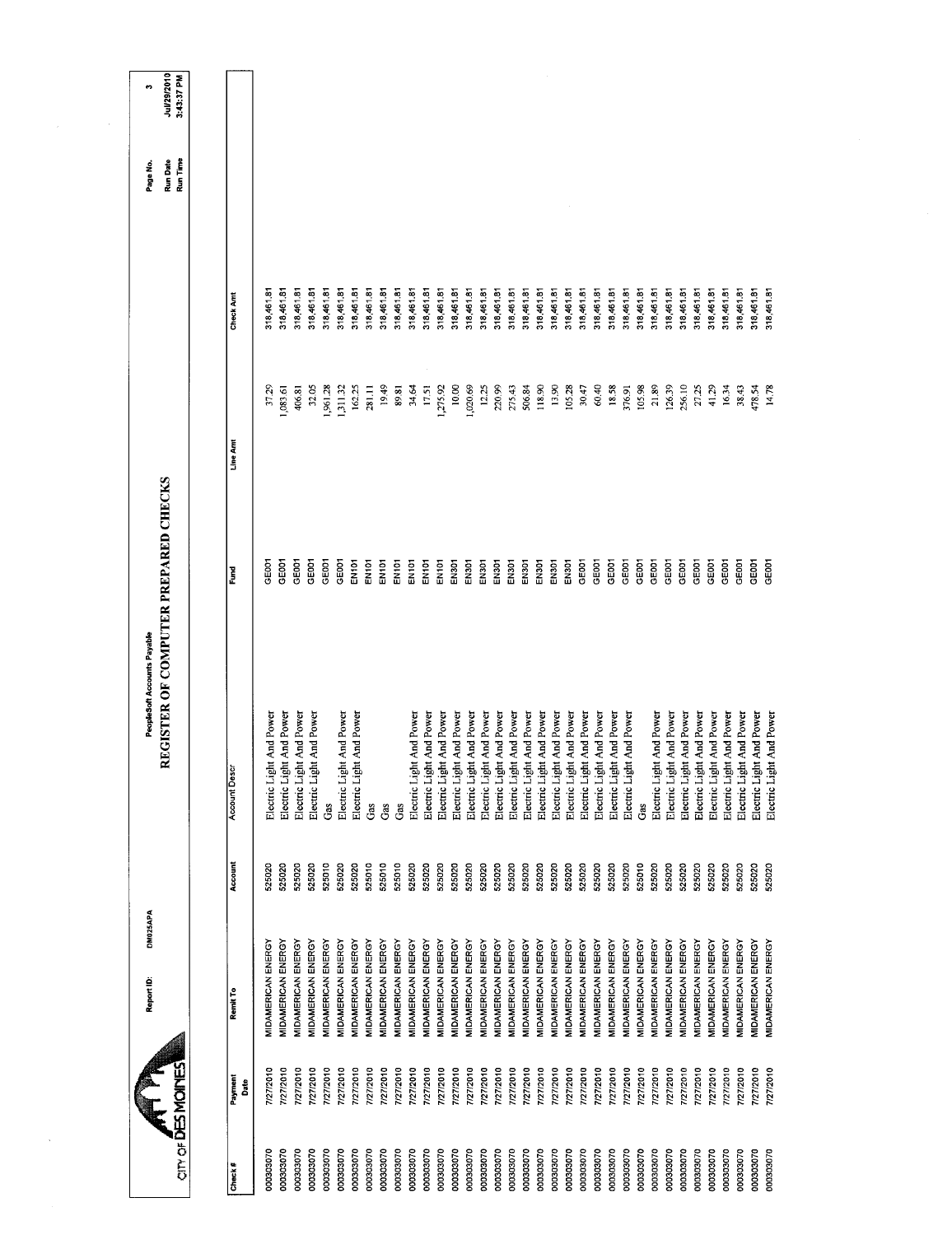|                   |                 | DM025APA<br>Report ID:    |         | PeopleSoft Accounts Payable                 |                   |          |            | Page No.                    | ø                         |
|-------------------|-----------------|---------------------------|---------|---------------------------------------------|-------------------|----------|------------|-----------------------------|---------------------------|
| cin of DES MOINES |                 |                           |         | <b>REGISTER OF COMPUTER PREPARED CHECKS</b> |                   |          |            | Run Time<br><b>Run Date</b> | Jul/29/2010<br>3:43:37 PM |
|                   |                 |                           |         |                                             |                   |          |            |                             |                           |
| Check#            | Payment<br>Date | Remit To                  | Account | <b>Account Descr</b>                        | Ēumd              | Line Am  | Check Amt  |                             |                           |
| 000303070         | 7/27/2010       | MIDAMERICAN ENERGY        | 525020  | t And Power<br>Electric Ligh                | GEOOT             | 37.29    | 318,461.81 |                             |                           |
| 000303070         | 7/27/2010       | MIDAMERICAN ENERGY        | 525020  | Electric Light And Power                    | GE001             | ,083.61  | 318,461.81 |                             |                           |
| 000303070         | 7/27/2010       | MIDAMERICAN ENERGY        | 525020  | Electric Light And Power                    | GEOCY             | 406.81   | 318,461.81 |                             |                           |
| 000303070         | 7/27/2010       | MIDAMERICAN ENERGY        | 525020  | Electric Light And Power                    | GE001             | 32.05    | 318,461.81 |                             |                           |
| 000303070         | 7/27/2010       | MIDAMERICAN ENERGY        | 525010  | Gas                                         | GEDDT             | 1,961.28 | 318,461.81 |                             |                           |
| 000303070         | 7/27/2010       | MIDAMERICAN ENERGY        | 525020  | Electric Light And Power                    | GEOOT             | 1,311.32 | 318,461.81 |                             |                           |
| 000303070         | 7/27/2010       | MIDAMERICAN ENERGY        | 525020  | Electric Light And Power                    | EN101             | 162.25   | 318,461.81 |                             |                           |
| 000303070         | 7/27/2010       | MIDAMERICAN ENERGY        | 525010  | Gas                                         | EN101             | 281.11   | 318,461.81 |                             |                           |
| 000303070         | 7/27/2010       | MIDAMERICAN ENERGY        | 525010  | Gas                                         | EN101             | 19.49    | 318,461.81 |                             |                           |
| 000303070         | 7/27/2010       | MIDAMERICAN ENERGY        | 525010  | Gas                                         | EN <sub>101</sub> | 89.81    | 318,461.81 |                             |                           |
| 000303070         | 7/27/2010       | MIDAMERICAN ENERGY        | 525020  | t And Power<br>Electric Ligh                | EN101             | 34.64    | 318,461.81 |                             |                           |
| 000303070         | 7/27/2010       | MIDAMERICAN ENERGY        | 525020  | t And Power<br>Electric Ligh                | EN101             | 17.51    | 318,461.81 |                             |                           |
| 000303070         | 7/27/2010       | MIDAMERICAN ENERGY        | 525020  | Electric Light And Power                    | EN <sub>101</sub> | 1,275.92 | 318,461.81 |                             |                           |
| 000303070         | 7/27/2010       | MIDAMERICAN ENERGY        | 525020  | Electric Light And Power                    | EN301             | 10,00    | 318,461.81 |                             |                           |
| 000303070         | 7/27/2010       | MIDAMERICAN ENERGY        | 525020  | Electric Light And Power                    | EN301             | 1,020.69 | 318,461.81 |                             |                           |
| 000303070         | 7/27/2010       | MIDAMERICAN ENERGY        | 525020  | Electric Light And Power                    | EN301             | 12.25    | 318,461.81 |                             |                           |
| 000303070         | 7/27/2010       | MIDAMERICAN ENERGY        | 525020  | Electric Light And Power                    | EN301             | 220.99   | 318,461.81 |                             |                           |
| 000303070         | 7/27/2010       | <b>MIDAMERICAN ENERGY</b> | 525020  | Electric Light And Power                    | EN301             | 275.43   | 318,461.81 |                             |                           |
| 000303070         | 7/27/2010       | MIDAMERICAN ENERGY        | 525020  | Electric Light And Power                    | <b>EN301</b>      | 506.84   | 318,461.81 |                             |                           |
| 000303070         | 7/27/2010       | MIDAMERICAN ENERGY        | 525020  | Electric Light And Power                    | EN301             | 118,90   | 318,461.81 |                             |                           |
| 000303070         | 7/27/2010       | MIDAMERICAN ENERGY        | 525020  | Electric Light And Power                    | EN301             | 13.90    | 318,461.81 |                             |                           |
| 000303070         | 7/27/2010       | MIDAMERICAN ENERGY        | 525020  | Electric Light And Power                    | <b>EN301</b>      | 105.28   | 318,461.81 |                             |                           |
| 000303070         | 7/27/2010       | MIDAMERICAN ENERGY        | 525020  | Electric Light And Power                    | GE001             | 30.47    | 318,461.81 |                             |                           |
| 000303070         | 7/27/2010       | MIDAMERICAN ENERGY        | 525020  | Electric Light And Power                    | GE001             | 60.40    | 318,461.81 |                             |                           |
| 000303070         | 7/27/2010       | MIDAMERICAN ENERGY        | 525020  | Electric Light And Power                    | GE001             | 18.58    | 318,461.81 |                             |                           |
| 000303070         | 7/27/2010       | <b>MIDAMERICAN ENERGY</b> | 525020  | Electric Light And Power                    | GEOOT             | 376.91   | 318,461.81 |                             |                           |
| 000303070         | 7/27/2010       | MIDAMERICAN ENERGY        | 525010  | යී                                          | GE <sub>001</sub> | 105.98   | 318,461.81 |                             |                           |
| 000303070         | 7/27/2010       | MIDAMERICAN ENERGY        | 525020  | Electric Light And Power                    | GE001             | 21.89    | 318,461.81 |                             |                           |
| 000303070         | 7/27/2010       | MIDAMERICAN ENERGY        | 525020  | Electric Light And Power                    | GE001             | 126.39   | 318,461.81 |                             |                           |
| 000303070         | 7/27/2010       | MIDAMERICAN ENERGY        | 525020  | Electric Light And Power                    | GE001             | 256.10   | 318,461.81 |                             |                           |
| 000303070         | 7/27/2010       | MIDAMERICAN ENERGY        | 525020  | Electric Light And Power                    | GE001             | 27.25    | 318,461.81 |                             |                           |
| 000303070         | 7772010         | MIDAMERICAN ENERGY        | 525020  | Electric Light And Power                    | GEOO1             | 41.29    | 318,461.81 |                             |                           |
| 000303070         | 7/27/2010       | MIDAMERICAN ENERGY        | 525020  | Electric Light And Power                    | GE001             | 16.34    | 318,461.81 |                             |                           |
| 000303070         | 7/27/2010       | MIDAMERICAN ENERGY        | 525020  | Electric Light And Power                    | GEOOT             | 38.43    | 318,461.81 |                             |                           |
| 000303070         | 7/27/2010       | <b>VIDAMERICAN ENERGY</b> | 525020  | Electric Light And Power                    | <b>GEOOT</b>      | 478.54   | 318,461.81 |                             |                           |
| 000303070         | 112712010       | MIDAMERICAN ENERGY        | 525020  | And Power<br>Electric Light                 | GEOOT             | 14.78    | 318,461.81 |                             |                           |
|                   |                 |                           |         |                                             |                   |          |            |                             |                           |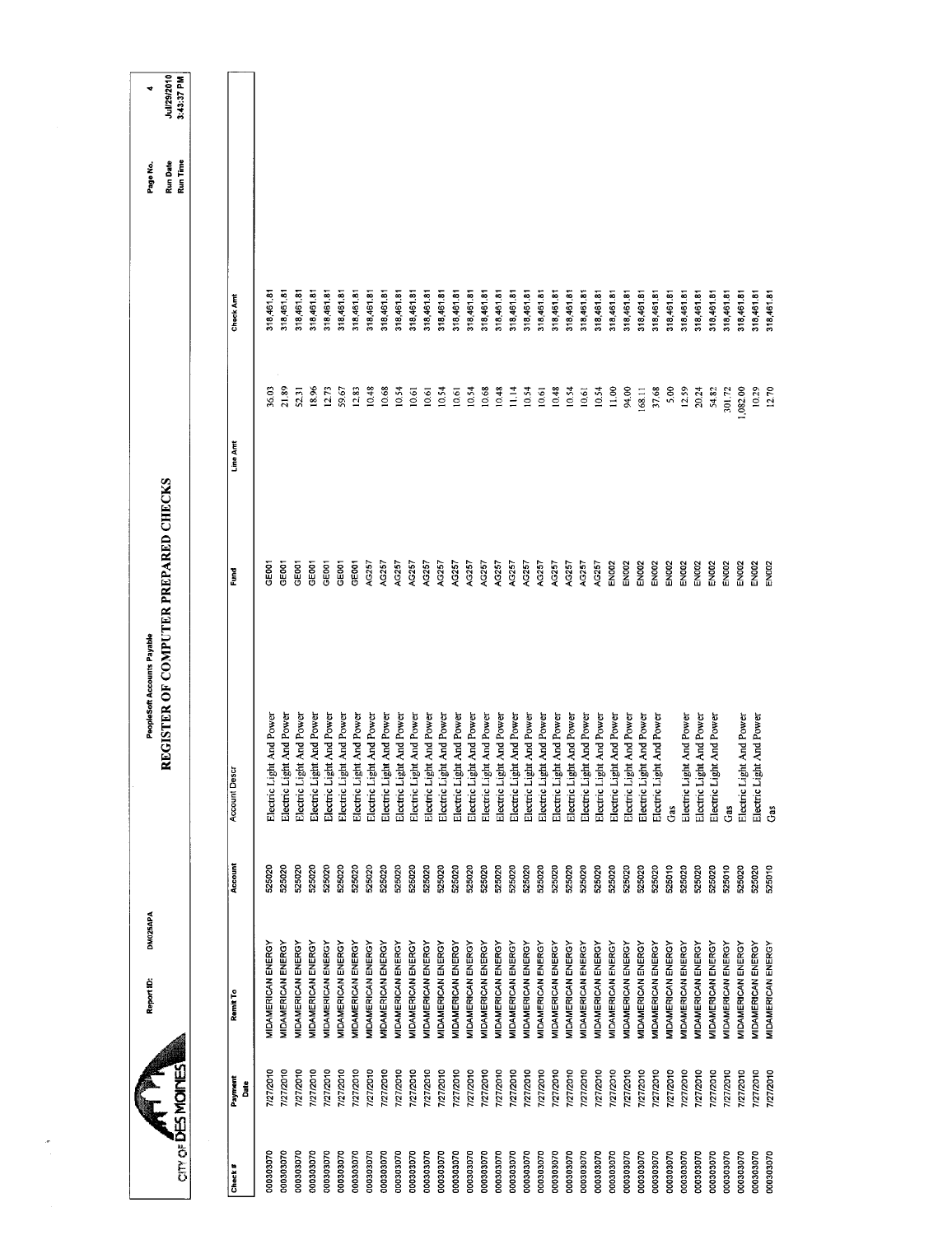| cin of DES MOINES |                 | DM025APA<br>Report ID:           |                | PeopleSoft Accounts Payable   | REGISTER OF COMPUTER PREPARED CHECKS |          |                  | Run Time<br>Run Date<br>Page No. | Jul/29/2010<br>3:43:37 PM<br>₹ |
|-------------------|-----------------|----------------------------------|----------------|-------------------------------|--------------------------------------|----------|------------------|----------------------------------|--------------------------------|
|                   |                 |                                  |                |                               |                                      |          |                  |                                  |                                |
| Check#            | Payment<br>Date | Remit To                         | <b>Account</b> | Account Descr                 | Fund                                 | Line Amt | <b>Check Amt</b> |                                  |                                |
| 000303070         | 7/27/2010       | MIDAMERICAN ENERGY               | 525020         | Electric Light And Power      | පෙ                                   | 36,03    | 318,461.81       |                                  |                                |
| 000303070         | 7/27/2010       | <b><i>MIDAMERICAN ENERGY</i></b> | 525020         | t And Power<br>Electric Ligh  | GE001                                | 21.89    | 318,461.81       |                                  |                                |
| 000303070         | 7/27/2010       | MIDAMERICAN ENERGY               | 525020         | Electric Light And Power      | GE001                                | 52.31    | 318,461.81       |                                  |                                |
| 000303070         | 7/27/2010       | MIDAMERICAN ENERGY               | 525020         | Electric Light And Power      | GEOOT                                | 18.96    | 318,461.81       |                                  |                                |
| 000303070         | 7/27/2010       | <b>MIDAMERICAN ENERGY</b>        | 525020         | Electric Light And Power      | GE <sub>001</sub>                    | 12.73    | 318,461.81       |                                  |                                |
| 000303070         | 7/27/2010       | MIDAMERICAN ENERGY               | 525020         | Electric Light And Power      | GE001                                | 59.67    | 318,461.81       |                                  |                                |
| 000303070         | 7/27/2010       | MIDAMERICAN ENERGY               | 525020         | Electric Light And Power      | GE001                                | 12.83    | 318,461.81       |                                  |                                |
| 000303070         | 7/27/2010       | MIDAMERICAN ENERGY               | 525020         | Electric Light And Power      | AG257                                | 10.48    | 318,461.8        |                                  |                                |
| 000303070         | 7/27/2010       | <b>MIDAMERICAN ENERGY</b>        | 525020         | Electric Light And Power      | AG257                                | 10.68    | 318,461.81       |                                  |                                |
| 000303070         | 7/27/2010       | MIDAMERICAN ENERGY               | 525020         | Electric Light And Power      | AG257                                | 10.54    | 318,461.81       |                                  |                                |
| 000303070         | 7/27/2010       | MIDAMERICAN ENERGY               | 525020         | Electric Light And Power      | AG257                                | 10.61    | 318,461.81       |                                  |                                |
| 000303070         | 7/27/2010       | MIDAMERICAN ENERGY               | 525020         | Electric Light And Power      | AG257                                | 10.61    | 318,461.81       |                                  |                                |
| 000303070         | 7/27/2010       | MIDAMERICAN ENERGY               | 525020         | Electric Light And Power      | AG257                                | 10.54    | 318,461.81       |                                  |                                |
| 000303070         | 7/27/2010       | MIDAMERICAN ENERGY               | 525020         | Electric Light And Power      | AG257                                | 10.61    | 318,461.81       |                                  |                                |
| 000303070         | 7/27/2010       | MIDAMERICAN ENERGY               | 525020         | Electric Light And Power      | AG257                                | 10.54    | 318,461.81       |                                  |                                |
| 000303070         | 7/27/2010       | MIDAMERICAN ENERGY               | 525020         | Electric Light And Power      | AG257                                | 10.68    | 318,461.81       |                                  |                                |
| 000302070         | 7/27/2010       | MIDAMERICAN ENERGY               | 525020         | Electric Light And Power      | AG257                                | 10.48    | 318,461.81       |                                  |                                |
| 000303070         | 7/27/2010       | <b>MIDAMERICAN ENERGY</b>        | 525020         | Electric Light And Power      | AG257                                | 11.14    | 318,461.81       |                                  |                                |
| 000303070         | 7/27/2010       | MIDAMERICAN ENERGY               | 525020         | Electric Light And Power      | AG257                                | 10.54    | 318,461.81       |                                  |                                |
| 000303070         | 7/27/2010       | MIDAMERICAN ENERGY               | 525020         | Electric Light And Power      | AG257                                | 10.61    | 318,461.81       |                                  |                                |
| 000303070         | 7/27/2010       | MIDAMERICAN ENERGY               | 525020         | Electric Light And Power      | AG257                                | 10.48    | 318,461.81       |                                  |                                |
| 000303070         | 7/27/2010       | MIDAMERICAN ENERGY               | 525020         | Electric Light And Power      | AG257                                | 10.54    | 318,461.81       |                                  |                                |
| 000303070         | 7/27/2010       | MIDAMERICAN ENERGY               | 525020         | Electric Light And Power      | AG257                                | 10,61    | 318,461.8        |                                  |                                |
| 000303070         | 7/27/2010       | MIDAMERICAN ENERGY               | 525020         | t And Power<br>Electric Light | AG257                                | 10.54    | 318,461.81       |                                  |                                |
| 000303070         | 7/27/2010       | MIDAMERICAN ENERGY               | 525020         | Electric Light And Power      | <b>EN002</b>                         | 11.00    | 318,461.81       |                                  |                                |
| 000303070         | 7/27/2010       | MIDAMERICAN ENERGY               | 525020         | Electric Light And Power      | EN <sub>002</sub>                    | 94.00    | 318,461.81       |                                  |                                |
| 000303070         | 7/27/2010       | <b>MIDAMERICAN ENERGY</b>        | 525020         | t And Power<br>Electric Light | EN <sub>002</sub>                    | 168.11   | 318,461.81       |                                  |                                |
| 000303070         | 7/27/2010       | MIDAMERICAN ENERGY               | 525020         | And Power<br>Electric Light   | EN <sub>002</sub>                    | 37.68    | 318,461.81       |                                  |                                |
| 000303070         | 7/27/2010       | MIDAMERICAN ENERGY               | 525010         | Gas                           | EN002                                | 5.00     | 318,461.81       |                                  |                                |
| 000303070         | 7/27/2010       | MIDAMERICAN ENERGY               | 525020         | : And Power<br>Electric Light | <b>EN002</b>                         | 12.59    | 318,461.81       |                                  |                                |
| 000303070         | 7/27/2010       | <b>MIDAMERICAN ENERGY</b>        | 525020         | And Power<br>Electric Light   | EN <sub>002</sub>                    | 20.24    | 318,461.81       |                                  |                                |
| 000303070         | 7/27/2010       | MIDAMERICAN ENERGY               | 525020         | And Power<br>Electric Light   | EN <sub>002</sub>                    | 54.82    | 318,461.81       |                                  |                                |
| 000303070         | 7/27/2010       | <b>MIDAMERICAN ENERGY</b>        | 525010         | යි                            | EN <sub>DO2</sub>                    | 301.72   | 318,461.81       |                                  |                                |
| 000303070         | 7/27/2010       | MIDAMERICAN ENERGY               | 525020         | And Power<br>Electric Light   | EN002                                | 1,082.00 | 318,461.81       |                                  |                                |
| 000303070         | 7/27/2010       | MIDAMERICAN ENERGY               | 525020         | And Power<br>Electric Light   | EN002                                | 10.29    | 318,461.81       |                                  |                                |
| 000303070         | 7/27/2010       | MIDAMERICAN ENERGY               | 525010         | Ĝå                            | <b>EXIDE</b>                         | 12.70    | 318,461.81       |                                  |                                |
|                   |                 |                                  |                |                               |                                      |          |                  |                                  |                                |

 $\frac{\partial \mathcal{L}_{\text{max}}}{\partial \mathcal{L}_{\text{max}}}$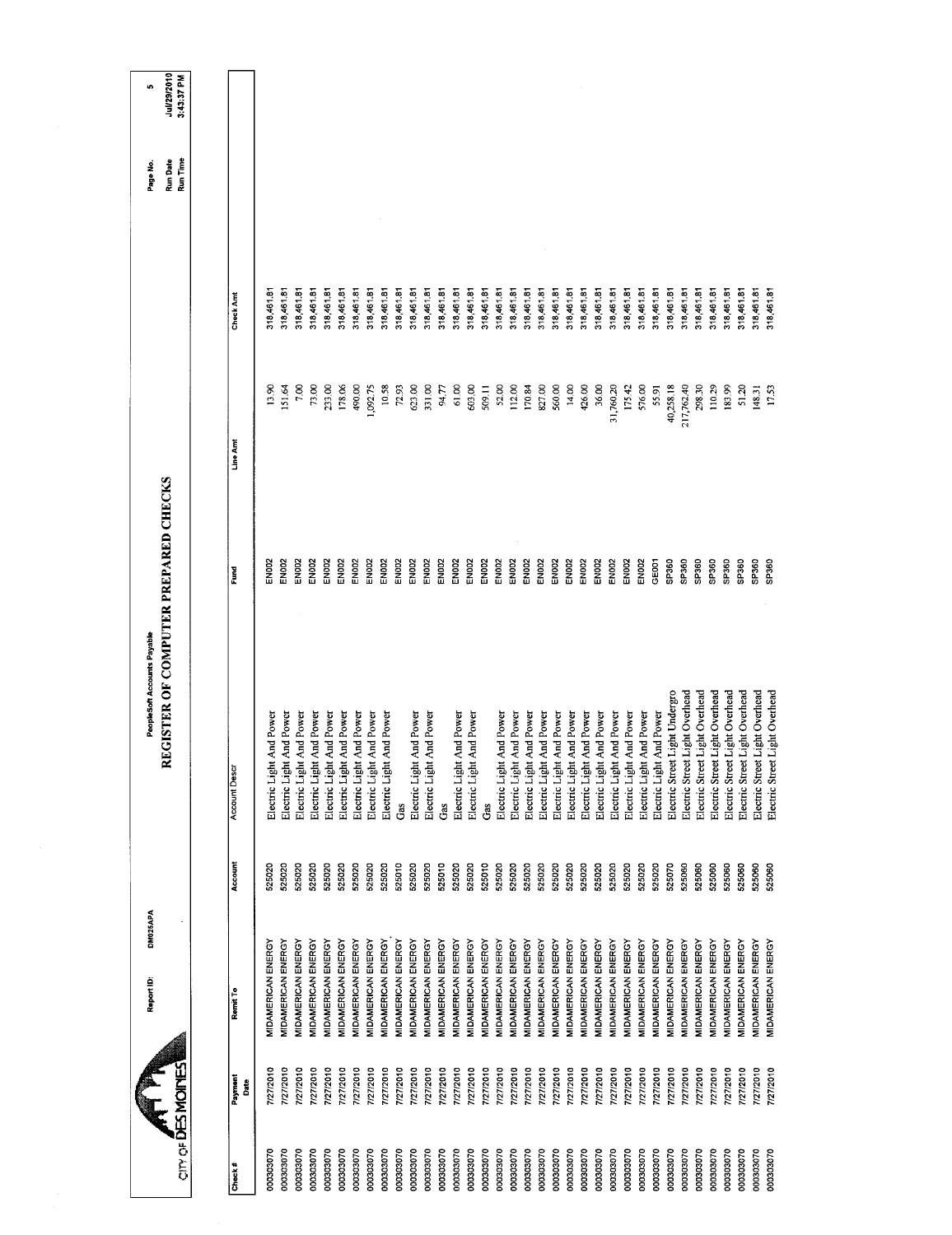| <b>CITY OF DES MOINES</b> |                           |         |                                | REGISTER OF COMPUTER PREPARED CHECKS |            |                  |                      |                           |
|---------------------------|---------------------------|---------|--------------------------------|--------------------------------------|------------|------------------|----------------------|---------------------------|
|                           |                           |         |                                |                                      |            |                  | Run Date<br>Run Time | Jul/29/2010<br>3.43:37 PM |
|                           |                           |         |                                |                                      |            |                  |                      |                           |
|                           | Remit To                  | Account | <b>Account Desc</b>            | Fund                                 | Line Amt   | <b>Check Amt</b> |                      |                           |
|                           | MIDAMERICAN ENERGY        | 525020  | Electric Light And Power       | EMODS                                | 13.90      | 318,461.8        |                      |                           |
|                           | MIDAMERICAN ENERGY        | 525020  | Electric Light And Power       | EN002                                | 151.64     | 318,461.81       |                      |                           |
|                           | MIDAMERICAN ENERGY        | 525020  | Electric Light And Power       | EN002                                | 7.00       | 318,461.81       |                      |                           |
|                           | MIDAMERICAN ENERGY        | 525020  | Electric Light And Power       | EN002                                | 73.00      | 318,461.81       |                      |                           |
|                           | MIDAMERICAN ENERGY        | 525020  | Electric Light And Power       | EN002                                | 233.00     | 318,461.81       |                      |                           |
|                           | MIDAMERICAN ENERGY        | 525020  | Electric Light And Power       | EN002                                | 178.06     | 318,461.81       |                      |                           |
|                           | <b>MIDAMERICAN ENERGY</b> | 525020  | Electric Light And Power       | <b>EN002</b>                         | 490.00     | 318,461.81       |                      |                           |
|                           | MIDAMERICAN ENERGY        | 525020  | Electric Light And Power       | EN002                                | 1,092.75   | 318,461.81       |                      |                           |
|                           | MIDAMERICAN ENERGY        | 525020  | Electric Light And Power       | EN002                                | 10.58      | 318,461.81       |                      |                           |
|                           | MIDAMERICAN ENERGY        | 525010  | Gas                            | EN002                                | 72.93      | 318,461.81       |                      |                           |
|                           | MIDAMERICAN ENERGY        | 525020  | Electric Light And Power       | <b>EN002</b>                         | 623.00     | 318,461.81       |                      |                           |
|                           | MIDAMERICAN ENERGY        | 525020  | Electric Light And Power       | <b>EN002</b>                         | 331.00     | 318,461.81       |                      |                           |
|                           | MIDAMERICAN ENERGY        | 525010  | Gas                            | <b>EN002</b>                         | 94.77      | 318,461.81       |                      |                           |
|                           | MIDAMERICAN ENERGY        | 525020  | Electric Light And Power       | EN002                                | 61.00      | 318,461.81       |                      |                           |
|                           | MIDAMERICAN ENERGY        | 525020  | Electric Light And Power       | <b>EN002</b>                         | 603.00     | 318,461.81       |                      |                           |
|                           | MIDAMERICAN ENERGY        | 525010  | Ĝâs                            | <b>EN002</b>                         | 509.11     | 318,461.81       |                      |                           |
|                           | MIDAMERICAN ENERGY        | 525020  | Electric Light And Power       | EN002                                | 52,00      | 318,461.81       |                      |                           |
|                           | MIDAMERICAN ENERGY        | 525020  | Electric Light And Power       | EN002                                | 112.00     | 318,461.81       |                      |                           |
|                           | MIDAMERICAN ENERGY        | 525020  | Electric Light And Power       | <b>EN002</b>                         | 170.84     | 318,461.81       |                      |                           |
|                           | MIDAMERICAN ENERGY        | 525020  | Electric Light And Power       | EN002                                | 827.00     | 318,461.81       |                      |                           |
|                           | MIDAMERICAN ENERGY        | 525020  | Electric Light And Power       | EN002                                | 560.00     | 318,461.81       |                      |                           |
|                           | MIDAMERICAN ENERGY        | 525020  | Electric Light And Power       | EN002                                | 14.00      | 318,461.81       |                      |                           |
|                           | MIDAMERICAN ENERGY        | 525020  | Electric Light And Power       | EN002                                | 426.00     | 318,461.81       |                      |                           |
|                           | MIDAMERICAN ENERGY        | 525020  | Electric Light And Power       | EN002                                | 36.00      | 318,461.81       |                      |                           |
|                           | MIDAMERICAN ENERGY        | 525020  | Electric Light And Power       | EN002                                | 31,760.20  | 318,461.81       |                      |                           |
|                           | MIDAMERICAN ENERGY        | 525020  | Electric Light And Power       | EN002                                | 175.42     | 318,461.81       |                      |                           |
|                           | MIDAMERICAN ENERGY        | 525020  | Electric Light And Power       | EN002                                | 576.00     | 318,461.81       |                      |                           |
|                           | MIDAMERICAN ENERGY        | 525020  | Electric Light And Power       | GE001                                | 55.91      | 318,461.81       |                      |                           |
|                           | MIDAMERICAN ENERGY        | 525070  | Electric Street Light Undergro | SP360                                | 40,258.18  | 318,461.81       |                      |                           |
|                           | MIDAMERICAN ENERGY        | 525060  | Electric Street Light Overhead | SP360                                | 217,762.40 | 318,461.81       |                      |                           |
|                           | MIDAMERICAN ENERGY        | 525060  | Electric Street Light Overhead | SP360                                | 298.30     | 318,461.81       |                      |                           |
|                           | MIDAMERICAN ENERGY        | 525060  | Electric Street Light Overhead | SP360                                | 110.29     | 318,461.81       |                      |                           |
|                           | MIDAMERICAN ENERGY        | 525060  | Electric Street Light Overhead | SP360                                | 183.99     | 318,461.81       |                      |                           |
|                           | MIDAMERICAN ENERGY        | 525060  | Electric Street Light Overhead | SP360                                | 51.20      | 318,461.81       |                      |                           |
|                           | MIDAMERICAN ENERGY        | 525060  | Electric Street Light Overhead | SP360                                | 148.31     | 318,461.81       |                      |                           |
|                           | MIDAMERICAN ENERGY        | 525060  |                                | SP360                                |            |                  |                      |                           |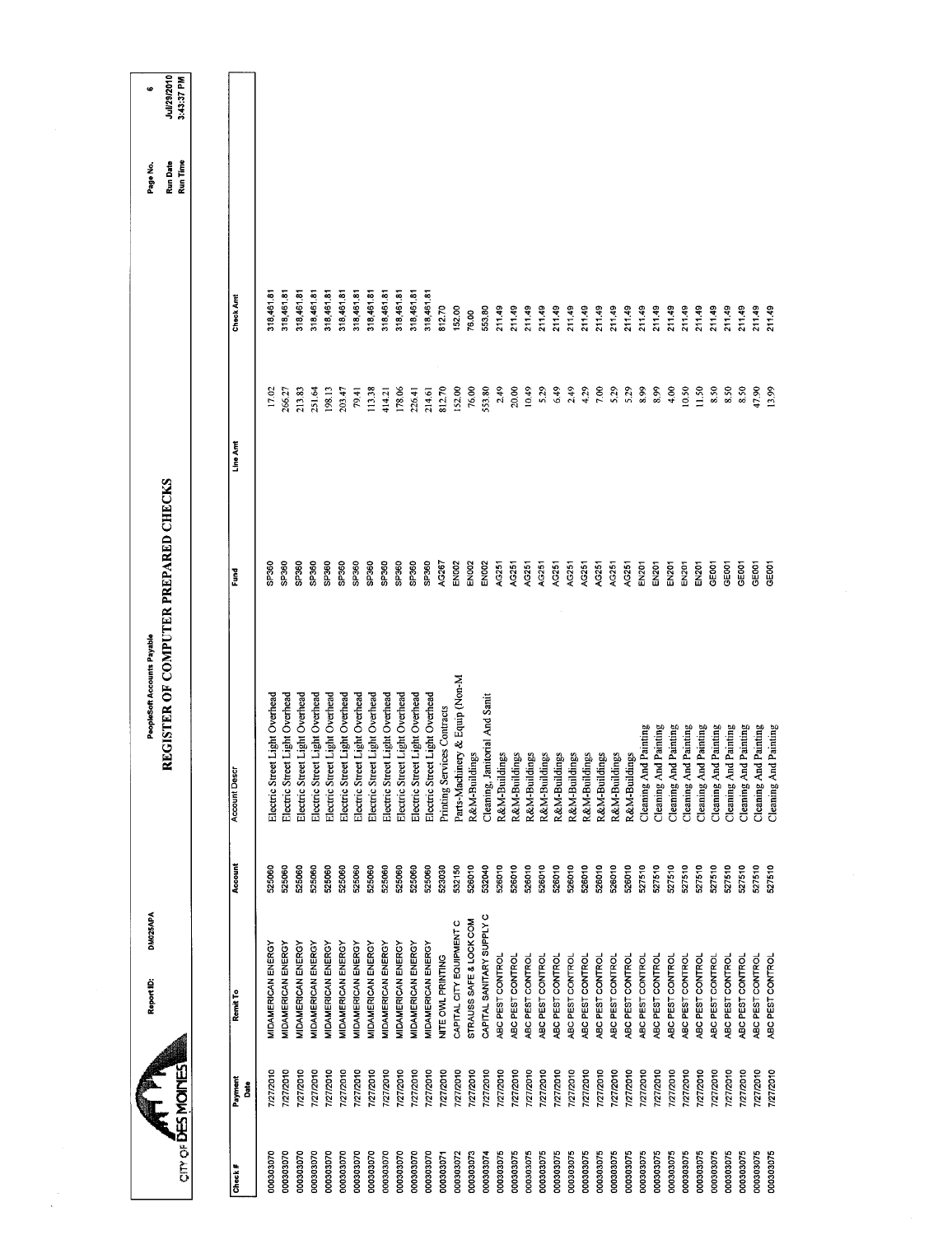|                        |                           | DM025APA<br>Report ID:                          |                  | PeopleSoft Accounts Payable                                      |                   |                  |                          | Page No.             | 40                        |
|------------------------|---------------------------|-------------------------------------------------|------------------|------------------------------------------------------------------|-------------------|------------------|--------------------------|----------------------|---------------------------|
|                        | <b>CITY OF DES MOINES</b> |                                                 |                  | REGISTER OF COMPUTER PREPARED CHECKS                             |                   |                  |                          | Run Time<br>Run Date | Jul/29/2010<br>3:43:37 PM |
| Check#                 | Payment<br>Date           | Remit To                                        | Account          | Account Descr                                                    | Ēund              | Line Amt         | <b>Check Amt</b>         |                      |                           |
| 000303070              | 7/27/2010                 | MIDAMERICAN ENERGY                              | 525060           | Electric Street Light Overhead                                   | SP360             | 17.02            | 318,461.81               |                      |                           |
| 000303070              | 7/27/2010                 | <b>MIDAMERICAN ENERGY</b>                       | 525060           | Electric Street Light Overhead                                   | SP360             | 266.27           | 318,461.81               |                      |                           |
| 000303070              | 7/27/2010                 | MIDAMERICAN ENERGY                              | 525060           | Electric Street Light Overhead                                   | SP360             | 213.83           | 318,461.81               |                      |                           |
| 000303070              | 7/27/2010                 | MIDAMERICAN ENERGY                              | 525060           | Electric Street Light Overhead                                   | <b>GP360</b>      | 251.64           | 318,461.81               |                      |                           |
| 000303070<br>000303070 | 7/27/2010                 | <b>MIDAMERICAN ENERGY</b><br>MIDAMERICAN ENERGY | 525060<br>525060 | Electric Street Light Overhead                                   | SP360<br>SP360    | 198.13<br>203.47 | 318,461.81<br>318,461.81 |                      |                           |
| 000303070              | 7/27/2010<br>7/27/2010    | <b>MIDAMERICAN ENERGY</b>                       | 525060           | Electric Street Light Overhead                                   | SP360             | 79.41            | 318,461.81               |                      |                           |
| 000303070              | 7/27/2010                 | MIDAMERICAN ENERGY                              | 525060           | Electric Street Light Overhead<br>Electric Street Light Overhead | SP <sub>360</sub> | 113.38           | 318,461.81               |                      |                           |
| 000303070              | 7/27/2010                 | MIDAMERICAN ENERGY                              | 525060           | Electric Street Light Overhead                                   | SP <sub>360</sub> | 414.21           | 318,461.81               |                      |                           |
| 000303070              | 7/27/2010                 | <b>MIDAMERICAN ENERGY</b>                       | 525060           | Electric Street Light Overhead                                   | SP360             | 178.06           | 318,461.81               |                      |                           |
| 000303070              | 7/27/2010                 | MIDAMERICAN ENERGY                              | 525060           | Electric Street Light Overhead                                   | SP360             | 226.41           | 318,461.81               |                      |                           |
| 000303070              | 7/27/2010                 | <b>MIDAMERICAN ENERGY</b>                       | 525060           | Electric Street Light Overhead                                   | SP360             | 214.61           | 318,461.81               |                      |                           |
| 000303071              | 7/27/2010                 | NITE OWL PRINTING                               | 523030           | Printing Services Contracts                                      | AG267             | 812.70           | 812.70                   |                      |                           |
| 000303072              | 7/27/2010                 | CAPITAL CITY EQUIPMENT C                        | 532150           | Parts-Machinery & Equip (Non-M                                   | EN002             | 152.00           | 152.00                   |                      |                           |
| 000303073              | 7/27/2010                 | STRAUSS SAFE & LOCK COM                         | 526010           | R&M-Buildings                                                    | <b>EN002</b>      | 76.00            | 76.00                    |                      |                           |
| 000303074              | 7/27/2010                 | CAPITAL SANITARY SUPPLY C                       | 532040           | Cleaning, Janitorial And Sanit                                   | EN002             | 553.80           | 553.80                   |                      |                           |
| 000303075              | 7/27/2010                 | ABC PEST CONTROL                                | 526010           | R&M-Buildings                                                    | AG251             | 2.49             | 211.49                   |                      |                           |
| 000303075              | 7/27/2010                 | ABC PEST CONTROL                                | 526010           | R&M-Buildings                                                    | AG251             | 20,00            | 211.49                   |                      |                           |
| 000303075              | 7/27/2010                 | ABC PEST CONTROL                                | 526010           | R&M-Buildings                                                    | AG251             | 10.49            | 211.49                   |                      |                           |
| 000303075              | 7/27/2010                 | ABC PEST CONTROL                                | 526010           | R&M-Buildings                                                    | AG251             | 5.29             | 211.49                   |                      |                           |
| 00030275               | 7/27/2010                 | ABC PEST CONTROL                                | 526010           | R&M-Buildings                                                    | AG251             | 6.49             | 211.49                   |                      |                           |
| 000303075              | 7/27/2010                 | ABC PEST CONTROL                                | 526010           | R&M-Buildings                                                    | AG251             | 2.49             | 211.49                   |                      |                           |
| 000303075              | 7/27/2010                 | ABC PEST CONTROL<br>ABC PEST CONTROL            | 526010<br>526010 | R&M-Buildings                                                    | AG251<br>AG251    | 4.29             | 211.49<br>211.49         |                      |                           |
| 000303075<br>000303075 | 7/27/2010<br>7/27/2010    | ABC PEST CONTROL                                | 526010           | R&M-Buildings                                                    | AG251             | 7,00<br>5.29     | 211.49                   |                      |                           |
| 00030275               | 7/27/2010                 | ABC PEST CONTROL                                | 526010           | R&M-Buildings<br>R&M-Buildings                                   | AG251             | 5.29             | 211.49                   |                      |                           |
| 000303075              | 7/27/2010                 | ABC PEST CONTROL                                | 527510           | Painting<br>Cleaning And                                         | EN201             | 8.99             | 211.49                   |                      |                           |
| 000303075              | 7/27/2010                 | ABC PEST CONTROL                                | 527510           | 1 Painting<br>Cleaning And                                       | <b>EN201</b>      | 8.99             | 211.49                   |                      |                           |
| 000303075              | 7/27/2010                 | ABC PEST CONTROL                                | 527510           | Painting<br>Cleaning And                                         | EN201             | 4.00             | 211.49                   |                      |                           |
| 000303075              | 7/27/2010                 | ABC PEST CONTROL                                | 527510           | Painting<br>Cleaning And                                         | <b>EN201</b>      | 10.50            | 211.49                   |                      |                           |
| 000303075              | 7/27/2010                 | ABC PEST CONTROL                                | 527510           | Painting<br>Cleaning And                                         | EN201             | 11.50            | 211.49                   |                      |                           |
| 000303075              | 7/27/2010                 | ABC PEST CONTROL                                | 527510           | Painting<br>Cleaning And                                         | GE001             | 8.50             | 211.49                   |                      |                           |
| 000303075              | 7/27/2010                 | ABC PEST CONTROL                                | 527510           | Painting<br>Cleaning And                                         | GE001             | 8.50             | 211.49                   |                      |                           |
| 000303075              | 7/27/2010                 | ABC PEST CONTROL                                | 527510           | Painting<br>Cleaning And                                         | GE <sub>001</sub> | 8.50             | 211.49                   |                      |                           |
| 00030275               | 7/27/2010                 | ABC PEST CONTROL                                | 527510           | Painting<br>Cleaning And                                         | GEOOT             | 47.90            | 211.49                   |                      |                           |
| 000303075              | 7/27/2010                 | ABC PEST CONTROL                                | 527510           | Painting<br>Cleaning And                                         | GE001             | 13.99            | 211.49                   |                      |                           |

 $\label{eq:2} \begin{array}{c} \mathcal{L}_{\text{max}}(\mathbf{r}) \\ \mathcal{L}_{\text{max}}(\mathbf{r}) \\ \mathcal{L}_{\text{max}}(\mathbf{r}) \end{array}$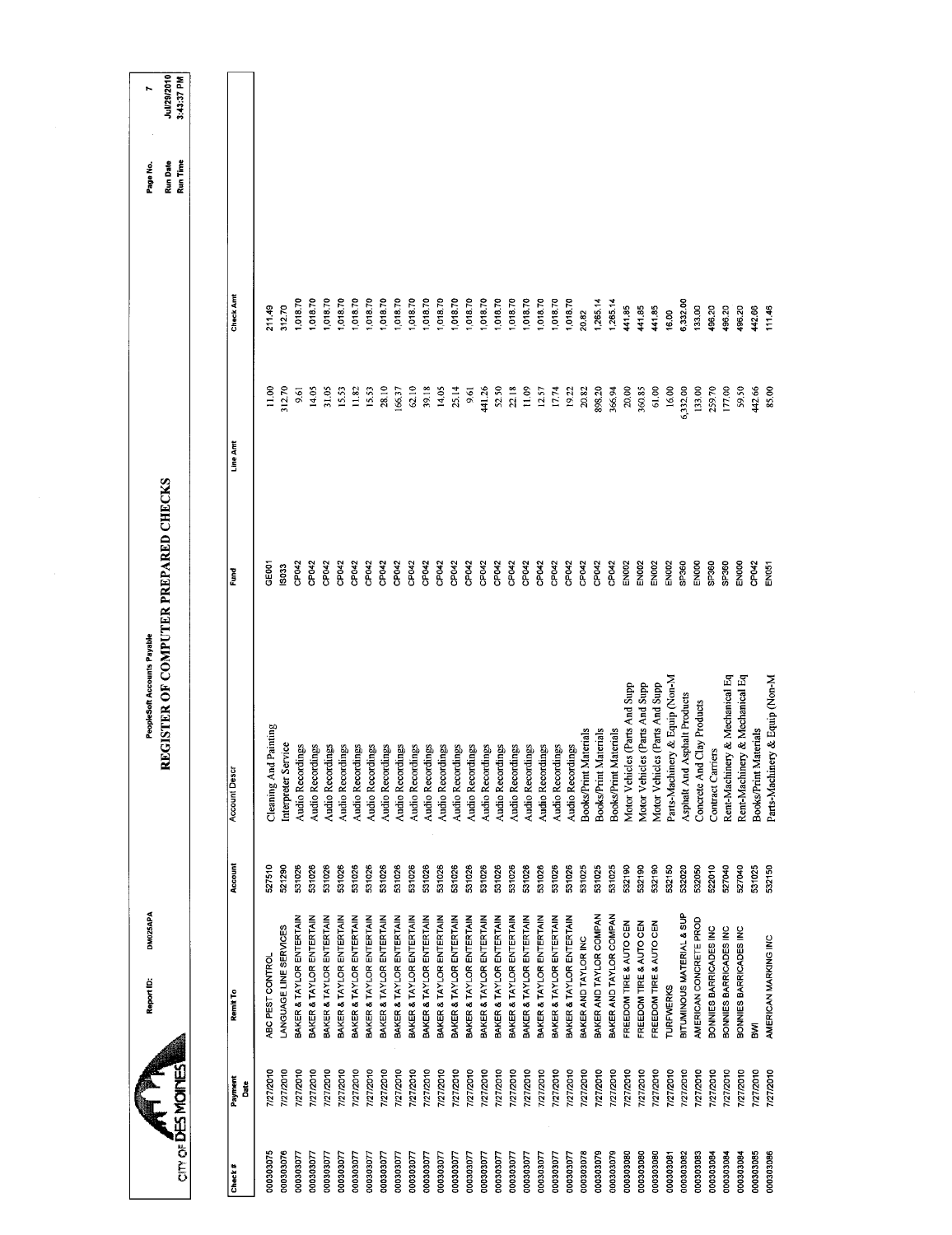| DM025APA<br>Report ID: |                  | REGISTER OF COMPUTER PREPARED CHECKS<br>PeopleSoft Accounts Payable |                                  |                |                      | Run Date<br>Page No. | Jul/29/2010<br>N |
|------------------------|------------------|---------------------------------------------------------------------|----------------------------------|----------------|----------------------|----------------------|------------------|
|                        |                  |                                                                     |                                  |                |                      | Run Time             | 3:43:37 PM       |
|                        | Account          | <b>Account Descr</b>                                                | Fund                             | Line Amt       | Check Amt            |                      |                  |
|                        |                  |                                                                     |                                  |                |                      |                      |                  |
|                        | 527510           | Cleaning And Painting                                               | GE <sub>001</sub><br><b>SO33</b> | 11,00          | 211.49               |                      |                  |
|                        | 521290<br>531026 | Interpreter Service<br>Audio Recordings                             | CP042                            | 312.70<br>9.61 | 1,018.70<br>312.70   |                      |                  |
|                        | 531026           | Audio Recordings                                                    | CP042                            | 14.05          | 1,018.70             |                      |                  |
|                        | 531026           | Audio Recordings                                                    | CP042                            | 31.05          | 1,018.70             |                      |                  |
|                        | 531026           | Audio Recordings                                                    | CP042                            | 15.53          | 1,018.70             |                      |                  |
|                        | 531026           | Audio Recordings                                                    | CP042                            | 11,82          | 1,018.70             |                      |                  |
|                        | 531026<br>531026 | Audio Recordings                                                    | CP042<br>CP042                   | 28.10<br>15.53 | 1,018.70<br>1,018.70 |                      |                  |
|                        | 531026           | Audio Recordings<br>Audio Recordings                                | CP042                            | 166.37         | 1,018.70             |                      |                  |
|                        | 531026           | Audio Recordings                                                    | CP042                            | 62.10          | 1,018.70             |                      |                  |
|                        | 531026           | Audio Recordings                                                    | CP042                            | 39.18          | 1,018.70             |                      |                  |
|                        | 531026           | Audio Recordings                                                    | CP042                            | 14.05          | 1,018.70             |                      |                  |
|                        | 531026           | Audio Recordings                                                    | CP042<br>CP042                   | 25.14          | 1,018.70             |                      |                  |
|                        | 531026<br>531026 | Audio Recordings                                                    | CP042                            | 441.26<br>9.61 | 1,018.70<br>1,018.70 |                      |                  |
|                        | 531026           | Audio Recordings<br>Audio Recordings                                | CP042                            | 52.50          | 1,018.70             |                      |                  |
|                        | 531026           | Audio Recordings                                                    | CP042                            | $22.18$        | 1,018.70             |                      |                  |
|                        | 531026           | Audio Recordings                                                    | CP042                            | 11.09          | 1,018.70             |                      |                  |
|                        | 531026           | Audio Recordings                                                    | CP042                            | 12.57          | 1,018.70             |                      |                  |
|                        | 531026           | Audio Recordings                                                    | CP042                            | 17.74          | 1,018.70             |                      |                  |
|                        | 531026<br>531025 | Audio Recordings                                                    | CP042<br>CP042                   | 19.22<br>20.82 | 1,018.70<br>20.82    |                      |                  |
|                        | 531025           | Books/Print Materials<br>Books/Print Materials                      | CP042                            | 898.20         | 1,265.14             |                      |                  |
|                        | 531025           | Books/Print Materials                                               | CP042                            | 366 94         | 1,265.14             |                      |                  |
|                        | 532190           | Motor Vehicles (Parts And Supp                                      | <b>EN002</b>                     | 20.00          | 441.85               |                      |                  |
|                        | 532190           | es (Parts And Supp<br>Motor Vehicl                                  | <b>EN002</b>                     | 360.85         | 441.85               |                      |                  |
|                        | 532190           | Motor Vehicles (Parts And Supp                                      | EN002                            | 61.00          | 441.85               |                      |                  |
|                        | 532150           | Parts-Machinery & Equip (Non-M                                      | EN002                            | 16.00          | 16.00                |                      |                  |
|                        | 532020           | Asphalt And Asphalt Products                                        | SP360                            | 6,332.00       | 6,332.00             |                      |                  |
|                        | 532050           | Concrete And Clay Products                                          | ENOOO                            | 133.00         | 133.00               |                      |                  |
|                        | 522010           | Contract Carriers                                                   | SP360                            | 259.70         | 496.20               |                      |                  |
|                        | 527040           | Rent-Machinery & Mechanical Eq                                      | SP360                            | 177.00         | 496.20               |                      |                  |
|                        | 527040           | Rent-Machinery & Mechanical Eq                                      | EN000<br>CP042                   | 59.50          | 496.20               |                      |                  |
|                        | 531025<br>532150 | <b>Books/Print Materials</b>                                        | EN051                            | 442.66         | 442.66<br>111.46     |                      |                  |
|                        |                  | Parts-Machinery & Equip (Non-M                                      |                                  | 85,00          |                      |                      |                  |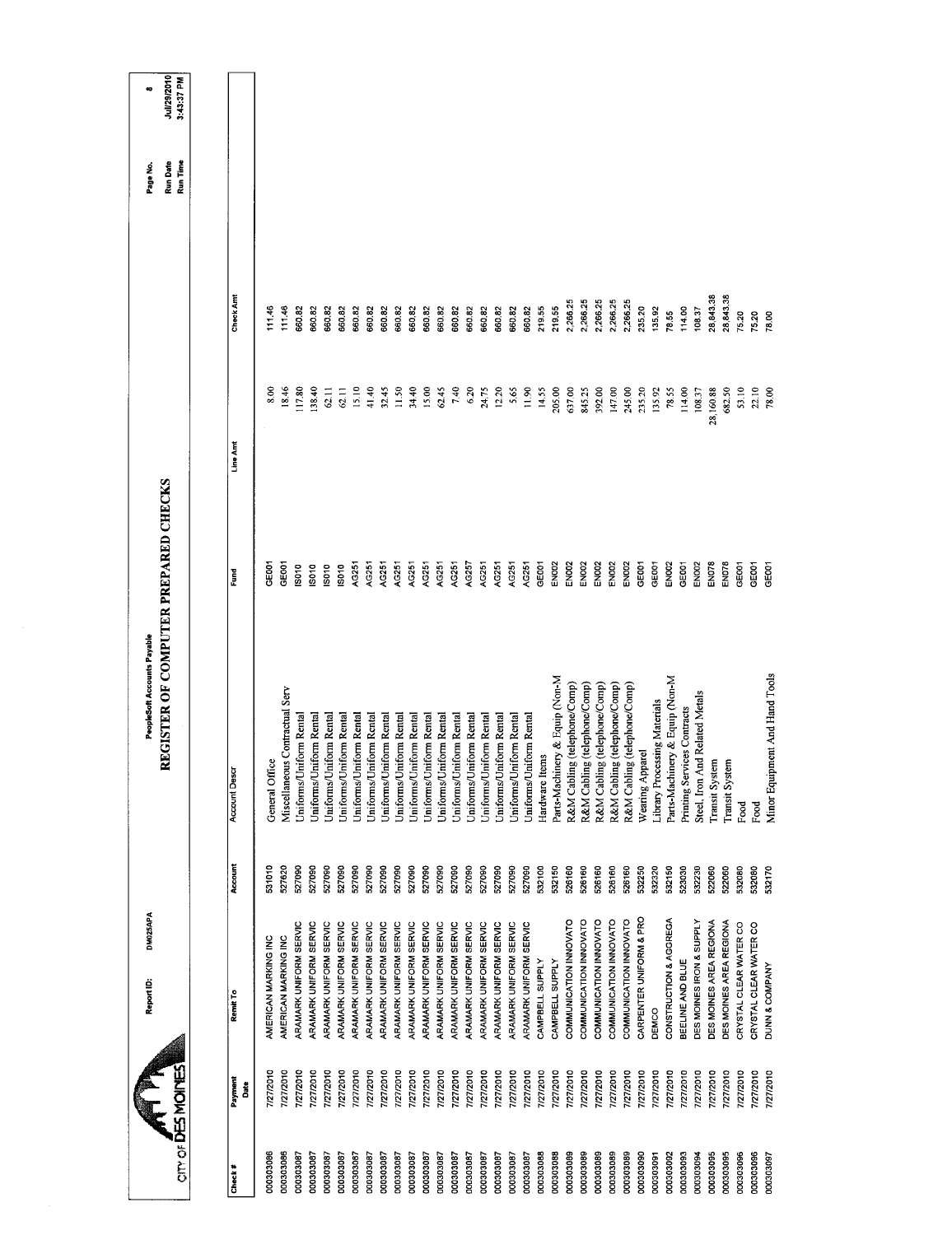|                  |                 | DM025APA<br>Report ID:   |         | PeopleSoft Accounts Payable          |                   |           |           | Page No.             | $\bullet$                 |
|------------------|-----------------|--------------------------|---------|--------------------------------------|-------------------|-----------|-----------|----------------------|---------------------------|
| on or DES MOINES |                 |                          |         | REGISTER OF COMPUTER PREPARED CHECKS |                   |           |           | Run Time<br>Run Date | Jul/29/2010<br>3:43:37 PM |
|                  |                 |                          |         |                                      |                   |           |           |                      |                           |
| Check#           | Payment<br>Date | Remit To                 | Account | Account Desc                         | Ĕ                 | Line Amt  | Check Amt |                      |                           |
| 000303086        | 7/27/2010       | AMERICAN MARKING INC     | 531010  | General Office                       | 329               | 8.00      | 11146     |                      |                           |
| 000303086        | 7/27/2010       | AMERICAN MARKING INC     | 527620  | Miscellaneous Contractual Serv       | <b>GEOO1</b>      | 18.46     | 111.46    |                      |                           |
| 000303087        | 7/27/2010       | ARAMARK UNIFORM SERVIC   | 527090  | Jniforms/Uniform Rental              | $\frac{80}{10}$   | 117.80    | 660.82    |                      |                           |
| 100303087        | 7/27/2010       | ARAMARK UNIFORM SERVIC   | 527090  | Uniforms/Uniform Rental              | <b>SO10</b>       | 138.40    | 660.82    |                      |                           |
| 000303087        | 7/27/2010       | ARAMARK UNIFORM SERVIC   | 527090  | Uniforms/Uniform Rental              | IS010             | 62.11     | 660.82    |                      |                           |
| 00303087         | 7/27/2010       | ARAMARK UNIFORM SERVIC   | 527090  | Uniforms/Uniform Rental              | <b>SO10</b>       | 62.11     | 660.82    |                      |                           |
| 000303087        | 7/27/2010       | ARAMARK UNIFORM SERVIC   | 527090  | Uniforms/Uniform Rental              | AG251             | 15.10     | 660.82    |                      |                           |
| 180602000        | 7/27/2010       | ARAMARK UNIFORM SERVIC   | 527090  | Uniforms/Uniform Rental              | AG251             | 41,40     | 660.82    |                      |                           |
| 780203087        | 7/27/2010       | ARAMARK UNIFORM SERVIC   | 527090  | Uniforms/Uniform Rental              | AG251             | 32.45     | 66082     |                      |                           |
| 000303087        | 7/27/2010       | ARAMARK UNIFORM SERVIC   | 527090  | Uniforms/Uniform Rental              | AG251             | 11.50     | 660.82    |                      |                           |
| 000303087        | 7/27/2010       | ARAMARK UNIFORM SERVIC   | 527090  | Uniforms/Uniform Rental              | AG251             | 34.40     | 660.82    |                      |                           |
| 1806202000       | 7/27/2010       | ARAMARK UNIFORM SERVIC   | 527090  | Uniforms/Uniform Rental              | AG251             | 15.00     | 660.82    |                      |                           |
| 000303087        | 7/27/2010       | ARAMARK UNIFORM SERVIC   | 527090  | Uniforms/Uniform Rental              | AG251             | 62.45     | 660.82    |                      |                           |
| 000303087        | 7/27/2010       | ARAMARK UNIFORM SERVIC   | 527090  | Uniforms/Uniform Rental              | AG251             | 7.40      | 660.82    |                      |                           |
| 000303087        | 7/27/2010       | ARAMARK UNIFORM SERVIC   | 527090  | Uniforms/Uniform Rental              | AG257             | 6.20      | 660.82    |                      |                           |
| 1806030000       | 7/27/2010       | ARAMARK UNIFORM SERVIC   | 527090  | Jniforms/Uniform Rental              | AG251             | 24.75     | 660.82    |                      |                           |
| 180608000        | 7/27/2010       | ARAMARK UNIFORM SERVIC   | 527090  | Uniforms/Uniform Rental              | AG251             | 12.20     | 660.82    |                      |                           |
| 000303087        | 7/27/2010       | ARAMARK UNIFORM SERVIC   | 527090  | Uniforms/Uniform Rental              | AG251             | 5.65      | 660.82    |                      |                           |
| 000303087        | 7/27/2010       | ARAMARK UNIFORM SERVIC   | 527090  | Uniforms/Uniform Rental              | AG251             | 11.90     | 660.82    |                      |                           |
| 000303088        | 7/27/2010       | CAMPBELL SUPPLY          | 532100  | Hardware Items                       | GE001             | 14.55     | 219.55    |                      |                           |
| 000303088        | 7/27/2010       | CAMPBELL SUPPLY          | 532150  | Parts-Machinery & Equip (Non-M       | EN002             | 205.00    | 219.55    |                      |                           |
| 000303089        | 7/27/2010       | COMMUNICATION INNOVATO   | 526160  | R&M Cabling (telephone/Comp)         | EN <sub>002</sub> | 637.00    | 2,266.25  |                      |                           |
| 000303089        | 7/27/2010       | COMMUNICATION INNOVATO   | 526160  | R&M Cabling (telephone/Comp)         | <b>EN002</b>      | 845.25    | 2,266.25  |                      |                           |
| 000303089        | 1/27/2010       | COMMUNICATION INNOVATO   | 526160  | R&M Cabling (telephone/Comp)         | EN002             | 392.00    | 2,266.25  |                      |                           |
| 00303089         | 1/27/2010       | COMMUNICATION INNOVATO   | 526160  | R&M Cabling (telephone/Comp)         | EN002             | 147.00    | 2,266.25  |                      |                           |
| 000303089        | 7/27/2010       | COMMUNICATION INNOVATO   | 526160  | R&M Cabling (telephone/Comp)         | EN002             | 245.00    | 2,266.25  |                      |                           |
| 000303090        | 7/27/2010       | CARPENTER UNIFORM & PRO  | 532250  | Wearing Apparel                      | GE001             | 235.20    | 235.20    |                      |                           |
| 000303091        | 7/27/2010       | DEMCO                    | 532320  | Library Processing Materials         | GE001             | 135.92    | 135.92    |                      |                           |
| 000303092        | 7/27/2010       | CONSTRUCTION & AGGREGA   | 532150  | Parts-Machinery & Equip (Non-M       | EN002             | 78.55     | 78.55     |                      |                           |
| 000303093        | 7/27/2010       | BEELINE AND BLUE         | 523030  | Printing Services Contracts          | GEOOT             | 114.00    | 114.00    |                      |                           |
| 000303094        | 7/27/2010       | DES MOINES IRON & SUPPLY | 532230  | Steel, Iron And Related Metals       | EN <sub>DOZ</sub> | 108.37    | 108.37    |                      |                           |
| 000303095        | 7/27/2010       | DES MOINES AREA REGIONA  | 522060  | Transit System                       | <b>EN078</b>      | 28,160.88 | 28,843.38 |                      |                           |
| 000303095        | 7/27/2010       | DES MOINES AREA REGIONA  | 522060  | Transit System                       | EN078             | 682.50    | 28,843.38 |                      |                           |
| 000303096        | 7/27/2010       | CRYSTAL CLEAR WATER CO   | 532080  | Food                                 | GE001             | 53.10     | 75.20     |                      |                           |
| 000303096        | 7/27/2010       | CRYSTAL CLEAR WATER CO   | 532080  | Food                                 | GE001             | 22.10     | 75.20     |                      |                           |
| 190303097        | 7/27/2010       | DUNN & COMPANY           | 532170  | Minor Equipment And Hand Tools       | <b>GEOOT</b>      | 78.00     | 78.00     |                      |                           |
|                  |                 |                          |         |                                      |                   |           |           |                      |                           |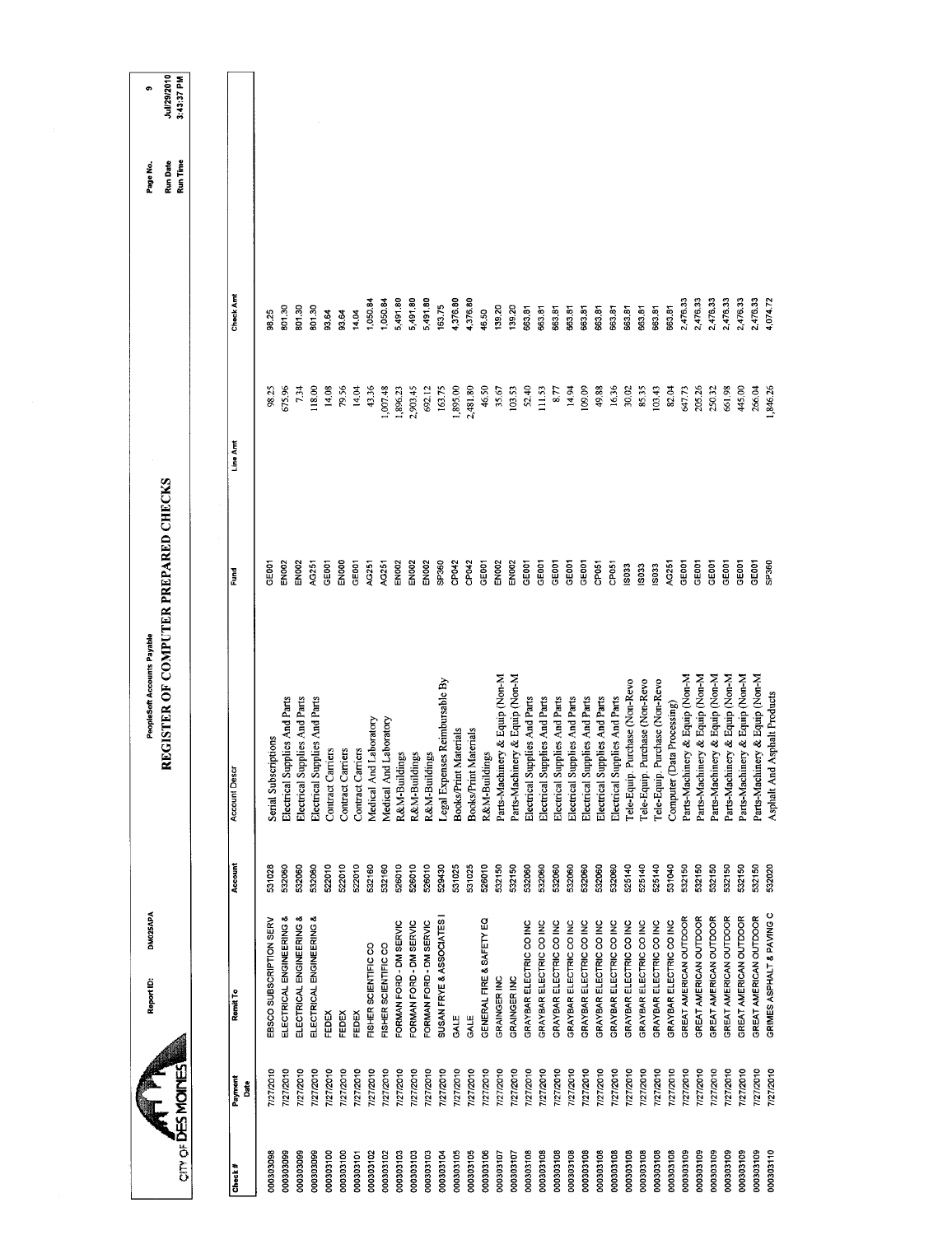|                           | Report ID:           | DM025APA                  |         | REGISTER OF COMPUTER PREPARED CHECKS<br>PeopleSoft Accounts Payable |                   |              |          | Run Date<br>Page No. | Jul/29/2010<br>e |
|---------------------------|----------------------|---------------------------|---------|---------------------------------------------------------------------|-------------------|--------------|----------|----------------------|------------------|
| on of <b>DES MOINES</b>   |                      |                           |         |                                                                     |                   |              |          | Run Time             | 3:43:37 PM       |
|                           |                      |                           |         |                                                                     |                   |              |          |                      |                  |
| Payment<br>Date<br>Check# | Remit To             |                           | Account | <b>Account Descr</b>                                                | Fund              | Line Arrt    | Check Am |                      |                  |
| 7/27/2010<br>000303098    |                      | EBSCO SUBSCRIPTION SERV   | 531028  | Serial Subscriptions                                                | <b>GEOOT</b>      | 98.25        | 98.25    |                      |                  |
| 777/2010<br>000303099     |                      | ELECTRICAL ENGINEERING &  | 532060  | Electrical Supplies And Parts                                       | EN002             | 675.96       | 801.30   |                      |                  |
| 7/27/2010<br>000303099    |                      | ELECTRICAL ENGINEERING    | 532060  | Electrical Supplies And Parts                                       | EN <sub>002</sub> | 734          | 80130    |                      |                  |
| 7/27/2010<br>000303099    |                      | ELECTRICAL ENGINEERING &  | 532060  | Electrical Supplies And Parts                                       | AG251             | 118.00       | 801.30   |                      |                  |
| 7/27/2010<br>000303100    | FEDEX                |                           | 522010  | Contract Carriers                                                   | GE001             | 14.08        | 93.64    |                      |                  |
| 7/27/2010<br>000303100    | FEDEX                |                           | 522010  | Contract Carriers                                                   | ENDOO             | 79.56        | 93.64    |                      |                  |
| 7/27/2010<br>000303101    | <b>FEDEX</b>         |                           | 522010  | Contract Carriers                                                   | GE <sub>001</sub> | 14.04        | 14.04    |                      |                  |
| 7/27/2010<br>000303102    | FISHER SCIENTIFIC CO |                           | 532160  | Medical And Laboratory                                              | AC251             | 43.36        | 1,050.84 |                      |                  |
| 7/27/2010<br>000303102    | FISHER SCIENTIFIC CO |                           | 532160  | Medical And Laboratory                                              | AG251             | 1,007.48     | 1,050.84 |                      |                  |
| 7/27/2010<br>000303103    |                      | "ORMAN FORD - DM SERVIC   | 526010  | R&M-Buildings                                                       | EN002             | 1,896.23     | 5,491.80 |                      |                  |
| 7/27/2010<br>000303103    |                      | FORMAN FORD - DM SERVIC   | 526010  | R&M-Buildings                                                       | <b>EN002</b>      | 2,903.45     | 5,491.80 |                      |                  |
| 7/27/2010<br>000303103    |                      | FORMAN FORD - DM SERVIC   | 526010  | R&M-Buildings                                                       | <b>EN002</b>      | 692.12       | 5,491.80 |                      |                  |
| 7/27/2010<br>000303104    |                      | SUSAN FRYE & ASSOCIATES   | 529430  | Legal Expenses Reimbursable By                                      | SP360             | 163.75       | 163.75   |                      |                  |
| 7/27/2010<br>000303105    | GALE                 |                           | 531025  | <b>Books/Print Materials</b>                                        | CP042             | 1,895.00     | 4,376.80 |                      |                  |
| 7/27/2010<br>000303105    | GALE                 |                           | 531025  | Books/Print Materials                                               | CP042             | 2,481.80     | 4,376.80 |                      |                  |
| 7/27/2010<br>000303106    |                      | GENERAL FIRE & SAFETY EQ  | 526010  | R&M-Buildings                                                       | GE001             | 46.50        | 46.50    |                      |                  |
| 7/27/2010<br>000303107    | GRAINGER INC         |                           | 532150  | Parts-Machinery & Equip (Non-M                                      | EN002             | 35.67        | 139.20   |                      |                  |
| 7/27/2010<br>000303107    | GRAINGER INC         |                           | 532150  | Parts-Machinery & Equip (Non-M                                      | EN002             | 103.53       | 139.20   |                      |                  |
| 7/27/2010<br>000303108    |                      | GRAYBAR ELECTRIC CO INC   | 532060  | Electrical Supplies And Parts                                       | GE001             | <b>52.40</b> | 663.81   |                      |                  |
| 7/27/2010<br>000303108    |                      | GRAYBAR ELECTRIC CO INC   | 532060  | Electrical Supplies And Parts                                       | GE001             | 111.53       | 663.81   |                      |                  |
| 7/27/2010<br>000303108    |                      | GRAYBAR ELECTRIC CO INC   | 532060  | Electrical Supplies And Parts                                       | CE <sub>001</sub> | 8.77         | 663.81   |                      |                  |
| 7/27/2010<br>000303108    |                      | GRAYBAR ELECTRIC CO INC   | 532060  | Electrical Supplies And Parts                                       | GE001             | 14.94        | 663.81   |                      |                  |
| 7/27/2010<br>000303108    |                      | GRAYBAR ELECTRIC CO INC   | 532060  | Electrical Supplies And Parts                                       | GE001             | 109.09       | 663.81   |                      |                  |
| 7/27/2010<br>000303108    |                      | GRAYBAR ELECTRIC CO INC   | 532060  | Electrical Supplies And Parts                                       | CP051             | 49.88        | 663.81   |                      |                  |
| 7/27/2010<br>000303108    |                      | GRAYBAR ELECTRIC CO INC   | 532060  | Electrical Supplies And Parts                                       | CP051             | 16.36        | 663.81   |                      |                  |
| 727/2010<br>000303108     |                      | GRAYBAR ELECTRIC CO INC   | 525140  | Purchase (Non-Revo<br>Tele-Equip                                    | <b>S033</b>       | 30.02        | 663.81   |                      |                  |
| 7/27/2010<br>000303108    |                      | GRAYBAR ELECTRIC CO INC   | 525140  | Purchase (Non-Revo<br>Tele-Equip                                    | IS033             | 85.35        | 663.81   |                      |                  |
| 7/27/2010<br>000303108    |                      | GRAYBAR ELECTRIC CO INC   | 525140  | Purchase (Non-Revo<br>Tele-Equip                                    | IS033             | 103,43       | 663.81   |                      |                  |
| 7772010<br>000303108      |                      | GRAYBAR ELECTRIC CO INC   | 531040  | Computer (Data Processing)                                          | AG251             | 82.04        | 663.81   |                      |                  |
| 7/27/2010<br>000303109    |                      | GREAT AMERICAN OUTDOOR    | 532150  | Parts-Machinery & Equip (Non-M                                      | GEOOT             | 647.73       | 2,476.33 |                      |                  |
| 127/2010<br>000303109     |                      | GREAT AMERICAN OUTDOOR    | 532150  | Parts-Machinery & Equip (Non-M                                      | GEOOT             | 205.26       | 2,476.33 |                      |                  |
| 7/27/2010<br>000303109    |                      | GREAT AMERICAN OUTDOOR    | 532150  | Parts-Machinery & Equip (Non-M                                      | GEOOT             | 250.32       | 2,476.33 |                      |                  |
| 7/27/2010<br>000303109    |                      | GREAT AMERICAN OUTDOOR    | 532150  | Parts-Machinery & Equip (Non-M                                      | GEOOT             | 661.98       | 2,476.33 |                      |                  |
| 7/27/2010<br>000303109    |                      | GREAT AMERICAN OUTDOOR    | 532150  | Parts-Machinery & Equip (Non-M                                      | GE001             | 445,00       | 2,476.33 |                      |                  |
| 7/27/2010<br>000303109    |                      | GREAT AMERICAN OUTDOOR    | 532150  | Parts-Machinery & Equip (Non-M                                      | GE001             | 266.04       | 2,476.33 |                      |                  |
| 7/27/2010<br>000303110    |                      | GRIMES ASPHALT & PAVING C | 532020  | Asphalt And Asphalt Products                                        | <b>C95cdS</b>     | 846.26       | 4,074.72 |                      |                  |
|                           |                      |                           |         |                                                                     |                   |              |          |                      |                  |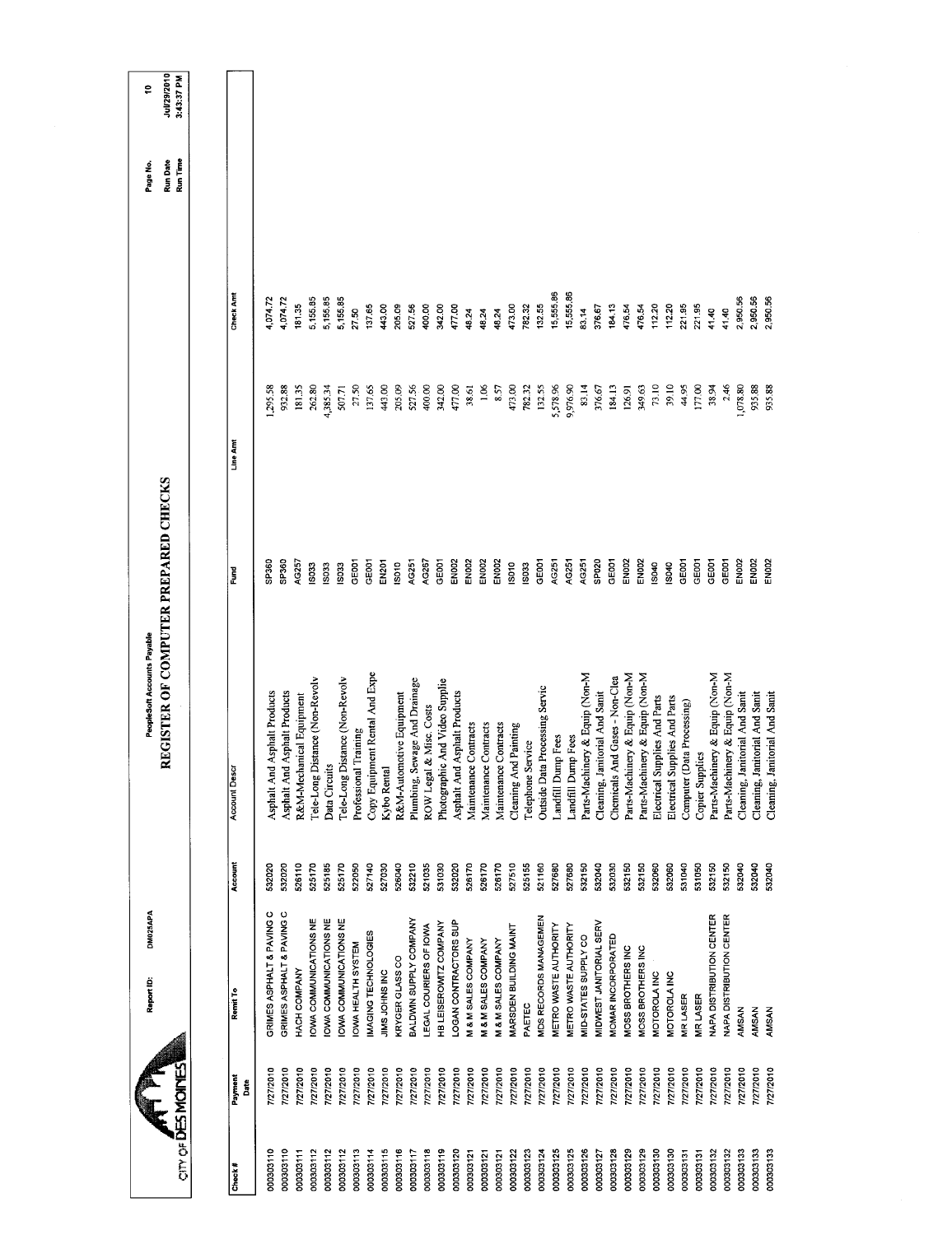|                 |                 | DM025APA<br>Report ID:    |         | PeopleSoft Accounts Payable          |                   |          |           | Page No.                    | \$,                       |
|-----------------|-----------------|---------------------------|---------|--------------------------------------|-------------------|----------|-----------|-----------------------------|---------------------------|
| cm of DESMOINES |                 |                           |         | REGISTER OF COMPUTER PREPARED CHECKS |                   |          |           | <b>Run Date</b><br>Run Time | Jul/29/2010<br>3:43:37 PM |
|                 |                 |                           |         |                                      |                   |          |           |                             |                           |
| Check #         | Payment<br>Date | Remit To                  | Account | Account Descr                        | š                 | Line Amt | Check Am  |                             |                           |
| 000303110       | 7/27/2010       | GRIMES ASPHALT & PAVING C | 532020  | Asphalt Products<br>Asphalt And      | SP360             | 295.58   | 4,074.72  |                             |                           |
| 000303110       | 7/27/2010       | GRIMES ASPHALT & PAVING C | 532020  | Asphalt Products<br>Asphalt And      | SP360             | 932.88   | 4,074.72  |                             |                           |
| 000303111       | 7/27/2010       | HACH COMPANY              | 526110  | R&M-Mechanical Equipment             | AG257             | 181.35   | 181.35    |                             |                           |
| 000303112       | 777/2010        | OWA COMMUNICATIONS NE     | 525170  | Tele-Long Distance (Non-Revolv       | <b>S033</b>       | 262.80   | 5,15585   |                             |                           |
| 000303112       | 7/27/2010       | OWA COMMUNICATIONS NE     | 525185  | Data Circuits                        | <b>SD33</b>       | 4,385.34 | 5,155.85  |                             |                           |
| 000303112       | 7/27/2010       | OWA COMMUNICATIONS NE     | 525170  | Tele-Long Distance (Non-Revolv       | 5033              | 507.71   | 5,155.85  |                             |                           |
| 000303113       | 7/27/2010       | <b>OWA HEALTH SYSTEM</b>  | 522050  | Professional Training                | GE001             | 27.50    | 27.50     |                             |                           |
| 000303114       | 7/27/2010       | MAGING TECHNOLOGIES       | 527140  | Copy Equipment Rental And Expe       | GE001             | 137.65   | 137.65    |                             |                           |
| 000303115       | 7/27/2010       | JIMS JOHNS INC            | 527030  | Kybo Rental                          | EN <sub>201</sub> | 443.00   | 443.00    |                             |                           |
| 000303116       | 7/27/2010       | KRYGER GLASS CO           | 526040  | R&M-Automotive Equipment             | S010              | 205.09   | 205.09    |                             |                           |
| 000303117       | 7/27/2010       | BALDWIN SUPPLY COMPANY    | 532210  | Plumbing, Sewage And Drainage        | AG251             | 527.56   | 527.56    |                             |                           |
| 000303118       | 7/27/2010       | LEGAL COURIERS OF IOWA    | 521035  | ROW Legal & Misc. Costs              | AG267             | 400.00   | 400.00    |                             |                           |
| 000303119       | 7/27/2010       | HB LEISEROWITZ COMPANY    | 531030  | Photographic And Video Supplie       | GE001             | 342.00   | 342.00    |                             |                           |
| 000303120       | 7/27/2010       | LOGAN CONTRACTORS SUP     | 532020  | Asphalt Products<br>Asphalt And      | EN <sub>002</sub> | 477.00   | 477.00    |                             |                           |
| 000303121       | 7/27/2010       | M & M SALES COMPANY       | 526170  | Contracts<br>Maintenance             | EN <sub>00</sub>  | 38.61    | 48.24     |                             |                           |
| 000303121       | 7/27/2010       | M & M SALES COMPANY       | 526170  | Contracts<br>Maintenance             | EN002             | 1.06     | 48.24     |                             |                           |
| 000303121       | 7/27/2010       | M & M SALES COMPANY       | 526170  | Contracts<br>Maintenance             | EN <sub>002</sub> | 8.57     | 48.24     |                             |                           |
| 000303122       | 7/27/2010       | MARSDEN BUILDING MAINT    | 527510  | Cleaning And Painting                | S010              | 473.00   | 473.00    |                             |                           |
| 000303123       | 7/27/2010       | PAETEC                    | 525155  | Telephone Service                    | <b>SO33</b>       | 782.32   | 782.32    |                             |                           |
| 00303124        | 7/27/2010       | MDS RECORDS MANAGEMEN     | 521160  | Outside Data Processing Servic       | GEOOT             | 132.55   | 132.55    |                             |                           |
| 000303125       | 7/27/2010       | METRO WASTE AUTHORITY     | 527680  | Landfill Dump Fees                   | AG251             | 5,578.96 | 15,555.86 |                             |                           |
| 000303125       | 7/27/2010       | METRO WASTE AUTHORITY     | 527680  | Landfill Dump Fees                   | AG251             | 9,976.90 | 15,555.86 |                             |                           |
| 00303126        | 7/27/2010       | MID-STATES SUPPLY CO      | 532150  | Parts-Machinery & Equip (Non-M       | AG251             | 83.14    | 83.14     |                             |                           |
| 000303127       | 7/27/2010       | MIDWEST JANITORIAL SERV   | 532040  | Cleaning, Janitorial And Sanit       | SPO <sub>20</sub> | 376.67   | 376.67    |                             |                           |
| 000303128       | 7/27/2010       | MOMAR INCORPORATED        | 532030  | Chemicals And Gases - Non-Clea       | GEOOT             | 184.13   | 184.13    |                             |                           |
| 000303129       | 7/27/2010       | MOSS BROTHERS INC         | 532150  | Parts-Machinery & Equip (Non-M       | EN002             | 126,91   | 476.54    |                             |                           |
| 000303129       | 1/27/2010       | MOSS BROTHERS INC         | 532150  | Parts-Machinery & Equip (Non-M       | EN <sub>002</sub> | 349.63   | 476.54    |                             |                           |
| 000303130       | 1/27/2010       | MOTOROLAINC               | 532060  | Electrical Supplies And Parts        | <b>S040</b>       | 73.10    | 112.20    |                             |                           |
| 000303130       | 7/27/2010       | MOTOROLA INC              | 532060  | Electrical Supplies And Parts        | IS040             | 39.10    | 112.20    |                             |                           |
| 000303131       | 1/27/2010       | MR LASER                  | 531040  | Computer (Data Processing)           | GEOOT             | 44.95    | 221.95    |                             |                           |
| 000303131       | 7/27/2010       | <b>MRLASER</b>            | 531050  | <b>Copier Supplies</b>               | GE001             | 177.00   | 221.95    |                             |                           |
| 000303132       | 1/27/2010       | NAPA DISTRIBUTION CENTER  | 532150  | Parts-Machinery & Equip (Non-M       | GEOOT             | 38.94    | 41.40     |                             |                           |
| 000303132       | 7/27/2010       | NAPA DISTRIBUTION CENTER  | 532150  | Parts-Machinery & Equip (Non-M       | GEOOT             | 2.46     | 41.40     |                             |                           |
| 000303133       | 7/27/2010       | AMSAN                     | 532040  | Cleaning, Janitorial And Sanit       | EN002             | 1,078.80 | 2,950.56  |                             |                           |
| 000303133       | 7/27/2010       | AMSAN                     | 532040  | Cleaning, Janitorial And Sanit       | EN <sub>002</sub> | 935.88   | 2,950.56  |                             |                           |
| 000303133       | 7/27/2010       | <b>AMSAN</b>              | 532040  | Cleaning, Janitorial And Sanit       | EN <sub>02</sub>  | 935.88   | 2,950.56  |                             |                           |
|                 |                 |                           |         |                                      |                   |          |           |                             |                           |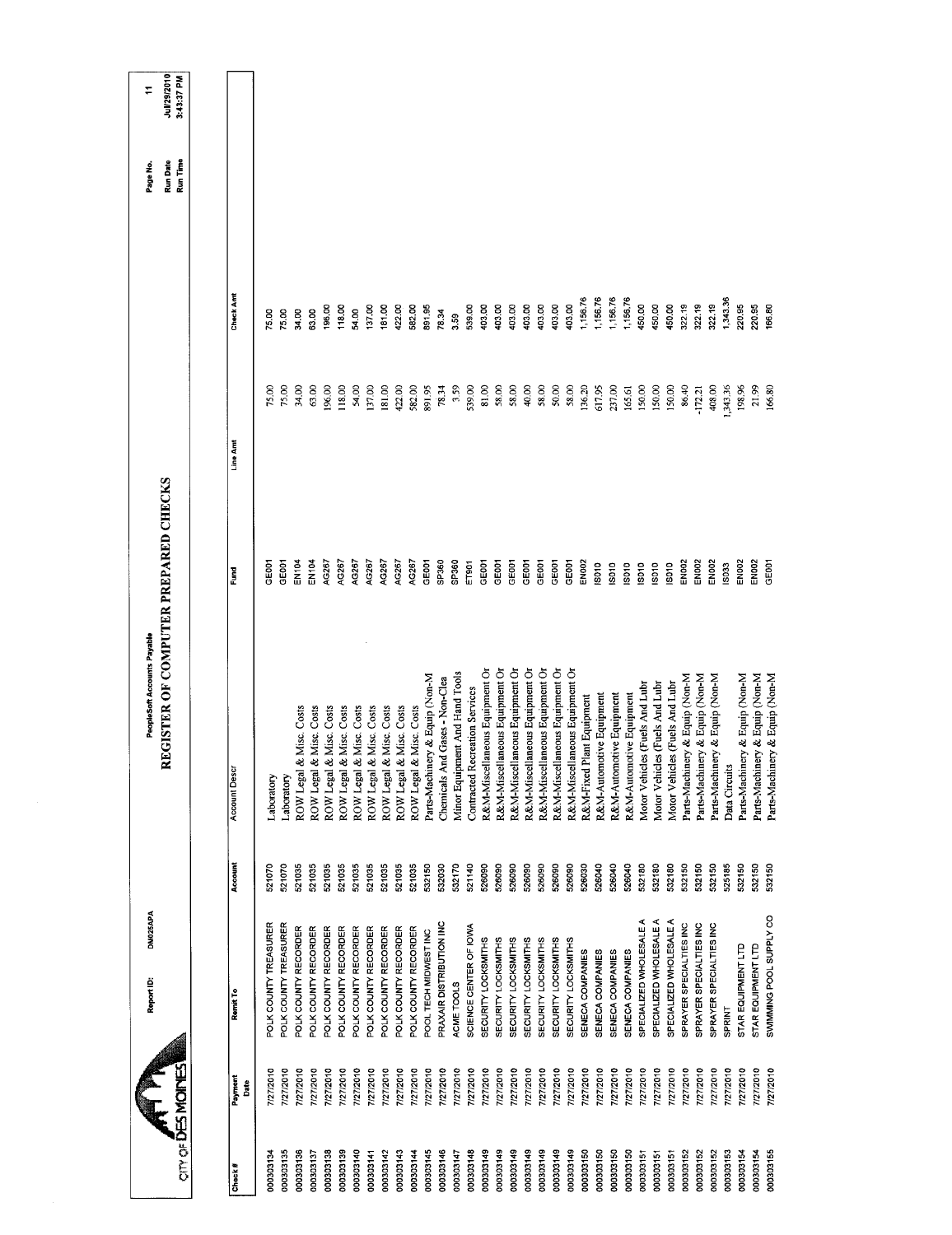| an or <b>DES MOINES</b> |                 | DM025APA<br>Report ID:     |         | REGISTER OF COMPUTER PREPARED CHECKS<br>PeopleSoft Accounts Payable |                   |           |          | <b>Run Date</b><br>Page No. | Jul/29/2010<br>3:43:37 PM<br>٣ |
|-------------------------|-----------------|----------------------------|---------|---------------------------------------------------------------------|-------------------|-----------|----------|-----------------------------|--------------------------------|
|                         |                 |                            |         |                                                                     |                   |           |          | Run Time                    |                                |
|                         |                 |                            |         |                                                                     |                   |           |          |                             |                                |
| Check#                  | Payment<br>Date | Remit To                   | Account | <b>Account Descr</b>                                                | Š                 | Line Amt  | Check Am |                             |                                |
| 000303134               | 7/27/2010       | POLK COUNTY TREASURER      | 521070  | Laboratory                                                          | <b>POSE</b>       | 75.00     | 75.00    |                             |                                |
| 000303135               | 7/27/2010       | POLK COUNTY TREASURER      | 521070  | aboratory                                                           | COSE              | 75.00     | 75.00    |                             |                                |
| 000303136               | 7/27/2010       | POLK COUNTY RECORDER       | 521035  | & Misc. Costs<br>ROW Legal                                          | EN <sub>104</sub> | 34.00     | 34.00    |                             |                                |
| 000303137               | 7/27/2010       | POLK COUNTY RECORDER       | 521035  | ROW Legal & Misc. Costs                                             | <b>EN104</b>      | 63.00     | 63.00    |                             |                                |
| 000303138               | 7/27/2010       | POLK COUNTY RECORDER       | 521035  | ROW Legal & Misc. Costs                                             | AG267             | 196.00    | 196,00   |                             |                                |
| 000303139               | 7/27/2010       | POLK COUNTY RECORDER       | 521035  | ROW Legal & Misc. Costs                                             | AG267             | 118.00    | 118.00   |                             |                                |
| 00303140                | 7/27/2010       | POLK COUNTY RECORDER       | 521035  | ROW Legal & Misc. Costs                                             | 4G267             | 54.00     | 54.00    |                             |                                |
| 000303141               | 7/27/2010       | POLK COUNTY RECORDER       | 521035  | ROW Legal & Misc. Costs                                             | AG267             | 137.00    | 137.00   |                             |                                |
| 000303142               | 7/27/2010       | POLK COUNTY RECORDER       | 521035  | ROW Legal & Misc. Costs                                             | AG267             | 181.00    | 181.00   |                             |                                |
| 000303143               | 7/27/2010       | POLK COUNTY RECORDER       | 521035  | ROW Legal & Misc. Costs                                             | AG267             | 422.00    | 422.00   |                             |                                |
| 000303144               | 7/27/2010       | POLK COUNTY RECORDER       | 521035  | ROW Legal & Misc. Costs                                             | AG267             | 582.00    | 582.00   |                             |                                |
| 000303145               | 7/27/2010       | POOL TECH MIDWEST INC      | 532150  | Parts-Machinery & Equip (Non-M                                      | GEOOT             | 891.95    | 891.95   |                             |                                |
| 000303146               | 7/27/2010       | PRAXAIR DISTRIBUTION INC   | 532030  | Chemicals And Gases - Non-Clea                                      | SP360             | 78.34     | 78.34    |                             |                                |
| 000303147               | 1/27/2010       | ACME TOOLS                 | 532170  | Minor Equipment And Hand Tools                                      | SP360             | 3.59      | 3.59     |                             |                                |
| 000303148               | 7/27/2010       | SCIENCE CENTER OF IOWA     | 521140  | <b>Contracted Recreation Services</b>                               | ET901             | 539.00    | 539.00   |                             |                                |
| 000303149               | 7/27/2010       | <b>SECURITY LOCKSMITHS</b> | 526090  | R&M-Miscellaneous Equipment Or                                      | GEOOT             | 81.00     | 403.00   |                             |                                |
| 000303149               | 7/27/2010       | SECURITY LOCKSMITHS        | 526090  | R&M-Miscellaneous Equipment Or                                      | <b>GEOOT</b>      | 58.00     | 403.00   |                             |                                |
| 000303149               | 7/27/2010       | SECURITY LOCKSMITHS        | 526090  | R&M-Miscellaneous Equipment Or                                      | GE001             | 58.00     | 403.00   |                             |                                |
| 000303149               | 7/27/2010       | SECURITY LOCKSMITHS        | 526090  | R&M-Miscellaneous Equipment Or                                      | GE001             | 40.00     | 403.00   |                             |                                |
| 00303149                | 7/27/2010       | SECURITY LOCKSMITHS        | 526090  | R&M-Miscellaneous Equipment Or                                      | GE001             | 58.00     | 403.00   |                             |                                |
| 000303149               | 7/27/2010       | SECURITY LOCKSMITHS        | 526090  | R&M-Miscellaneous Equipment Or                                      | GEOOT             | 50.00     | 403.00   |                             |                                |
| 000303149               | 7/27/2010       | SECURITY LOCKSMITHS        | 526090  | R&M-Miscellaneous Equipment Or                                      | <b>GEOOT</b>      | 58.00     | 403.00   |                             |                                |
| 061503030               | 7/27/2010       | SENECA COMPANIES           | 526030  | R&M-Fixed Plant Equipment                                           | <b>EN002</b>      | 136.20    | 1,156.76 |                             |                                |
| 000303150               | 7/27/2010       | SENECA COMPANIES           | 526040  | R&M-Automotive Equipment                                            | <b>SO10</b>       | 617.95    | 1,156.76 |                             |                                |
| 000303150               | 7/27/2010       | SENECA COMPANIES           | 526040  | R&M-Automotive Equipment                                            | <b>SO10</b>       | 237.00    | 1,156.76 |                             |                                |
| 000303150               | 7/27/2010       | SENECA COMPANIES           | 526040  | R&M-Automotive Equipment                                            | IS010             | 165.61    | 1,156.76 |                             |                                |
| 000303151               | 7/27/2010       | SPECIALIZED WHOLESALE A    | 532180  | Motor Vehicles (Fuels And Lubr                                      | IS010             | 150.00    | 450.00   |                             |                                |
| 000303151               | 7772010         | SPECIALIZED WHOLESALE A    | 532180  | Motor Vehicles (Fuels And Lubr                                      | S010              | 150.00    | 450,00   |                             |                                |
| 000303151               | 7/27/2010       | SPECIALIZED WHOLESALE A    | 532180  | Motor Vehicles (Fuels And Lubr                                      | IS010             | 150,00    | 450.00   |                             |                                |
| 000303152               | 7/27/2010       | SPRAYER SPECIALTIES INC    | 532150  | Parts-Machinery & Equip (Non-M                                      | EN <sub>002</sub> | 86.40     | 322.19   |                             |                                |
| 000303152               | 7/27/2010       | SPRAYER SPECIALTIES INC    | 532150  | Parts-Machinery & Equip (Non-M                                      | EN002             | $-172.21$ | 322.19   |                             |                                |
| 000303152               | 7/27/2010       | SPRAYER SPECIALTIES INC    | 532150  | Parts-Machinery & Equip (Non-M                                      | EN <sub>002</sub> | 408.00    | 322.19   |                             |                                |
| 000303153               | 1/27/2010       | <b>SPRINT</b>              | 525185  | Data Circuits                                                       | <b>SO33</b>       | 1,343.36  | 1,343.36 |                             |                                |
| 000303154               | 7/27/2010       | STAR EQUIPMENT LTD         | 532150  | Parts-Machinery & Equip (Non-M                                      | EN <sub>002</sub> | 198.96    | 220.95   |                             |                                |
| 000303154               | 7/27/2010       | STAR EQUIPMENT LTD         | 532150  | Parts-Machinery & Equip (Non-M                                      | <b>ENDOZ</b>      | 21.99     | 220.95   |                             |                                |
| 000303155               | 127/2010        | SWIMMING POOL SUPPLY CO    | 532150  | Parts-Machinery & Equip (Non-M                                      | <b>GEOOT</b>      | 166.80    | 166.80   |                             |                                |
|                         |                 |                            |         |                                                                     |                   |           |          |                             |                                |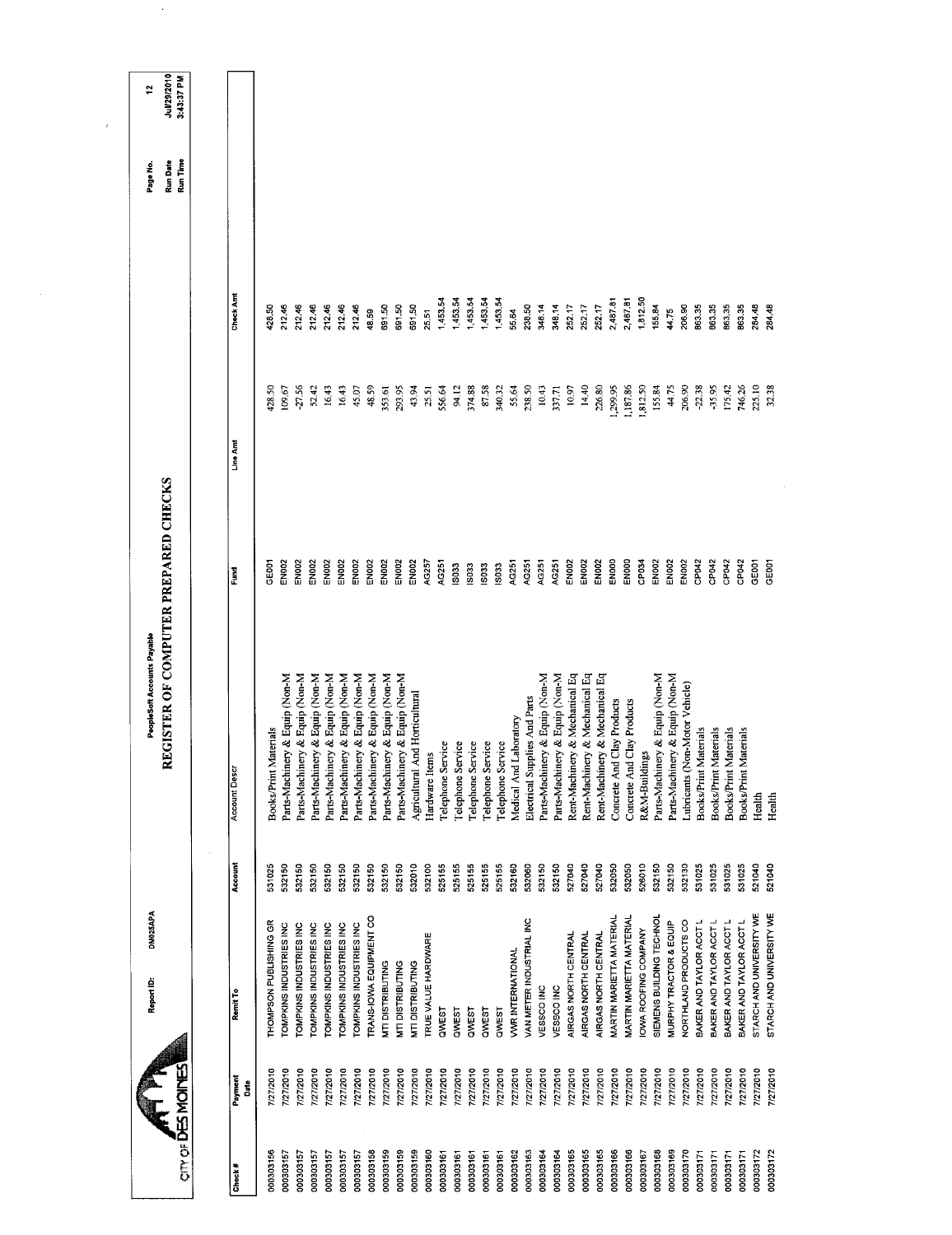| Report ID:                                         |                  |                                                                                |                            |                 |                      |                                  |                                |
|----------------------------------------------------|------------------|--------------------------------------------------------------------------------|----------------------------|-----------------|----------------------|----------------------------------|--------------------------------|
| DM025APA                                           |                  | <b>EGISTER OF COMPUTER PREPARED CHECKS</b><br>PeopleSoft Accounts Payable<br>≃ |                            |                 |                      | Run Date<br>Run Time<br>Page No. | Jul/29/2010<br>3:43:37 PM<br>2 |
|                                                    | Account          | <b>Account Descr</b>                                                           | Ě                          | Line Amt        | Check Am             |                                  |                                |
| THOMPSON PUBLISHING GR                             | 531025           | <b>Books/Print Materials</b>                                                   | GE00                       | 128.50          | 128.50               |                                  |                                |
| TOMPKINS INDUSTRIES INC                            | 532150           | Parts-Machinery & Equip (Non-M                                                 | EN <sub>002</sub>          | 109.67          | 212.46               |                                  |                                |
| TOMPKINS INDUSTRIES INC                            | 532150           | Parts-Machinery & Equip (Non-M                                                 | EN <sub>002</sub>          | 27.56           | 212.46               |                                  |                                |
| <b>COMPKINS INDUSTRIES INC</b>                     | 532150           | Parts-Machinery & Equip (Non-M                                                 | EN002                      | 52.42           | 212.46               |                                  |                                |
| TOMPKINS INDUSTRIES INC                            | 532150           | Parts-Machinery & Equip (Non-M                                                 | <b>EN002</b>               | 16.43           | 212.46               |                                  |                                |
| TOMPKINS INDUSTRIES INC                            | 532150           | Parts-Machinery & Equip (Non-M                                                 | EN002<br>EN002             | 16.43           | 212.46<br>212.46     |                                  |                                |
| TRANS-IOWA EQUIPMENT CO<br>TOMPKINS INDUSTRIES INC | 532150<br>532150 | Parts-Machinery & Equip (Non-M<br>Parts-Machinery & Equip (Non-M               | <b>EN002</b>               | 48.59<br>45.07  | 48.59                |                                  |                                |
|                                                    | 532150           | Parts-Machinery & Equip (Non-M                                                 | EN002                      | 353.61          | 691.50               |                                  |                                |
| MTI DISTRIBUTING<br>MTI DISTRIBUTING               | 532150           | Parts-Machinery & Equip (Non-M                                                 | <b>EN002</b>               | 293.95          | 691.50               |                                  |                                |
| MTI DISTRIBUTING                                   | 532010           | Agricultural And Horticultural                                                 | <b>EN002</b>               | 43.94           | 691.50               |                                  |                                |
| TRUE VALUE HARDWARE                                | 532100           | Hardware Items                                                                 | AG257<br>AG251             | 25.51           | 25.51                |                                  |                                |
|                                                    | 525155<br>525155 | Telephone Service                                                              | IS033                      | 556.64<br>94.12 | 1,453.54<br>1,453.54 |                                  |                                |
|                                                    | 525155           | <b>Telephone Service</b><br>Telephone Service                                  | ISO33                      | 374.88          | 1,453.54             |                                  |                                |
|                                                    | 525155           | Telephone Service                                                              | IS033                      | 87.58           | 1,453.54             |                                  |                                |
|                                                    | 525155           | Telephone Service                                                              | <b>ISO33</b>               | 340.32          | 1,453.54             |                                  |                                |
| <b>VWR INTERNATIONAL</b>                           | 532160           | Medical And Laboratory                                                         | AG251                      | 55.64           | 55.64                |                                  |                                |
| VAN METER INDUSTRIAL INC                           | 532060           | Electrical Supplies And Parts                                                  | AG251                      | 238.50          | 238.50               |                                  |                                |
|                                                    | 532150<br>532150 | Parts-Machinery & Equip (Non-M<br>Parts-Machinery & Equip (Non-M               | AG251<br>AG251             | 10.43<br>337.71 | 348.14<br>348.14     |                                  |                                |
| AIRGAS NORTH CENTRAL                               | 527040           | Rent-Machinery & Mechanical Eq                                                 | EN002                      | 10.97           | 252.17               |                                  |                                |
| AIRGAS NORTH CENTRAL                               | 527040           | Rent-Machinery & Mechanical Eq                                                 | EN002                      | 14.40           | 25217                |                                  |                                |
| AIRGAS NORTH CENTRAL                               | 527040           | Rent-Machinery & Mechanical Eq                                                 | <b>EN002</b>               | 226.80          | 252.17               |                                  |                                |
| <b>MARTIN MARIETTA MATERIAL</b>                    | 532050           | Concrete And Clay Products                                                     | ENOOD                      | 1,299.95        | 2,487.81             |                                  |                                |
| MARTIN MARIETTA MATERIAL                           | 532050           | Concrete And Clay Products                                                     | ENOOD                      | 1,187.86        | 2,487.81             |                                  |                                |
| OWA ROOFING COMPANY                                | 526010           | R&M-Buildings                                                                  | CP034                      | 1,812.50        | 1,812.50             |                                  |                                |
| SIEMENS BUILDING TECHNOL                           | 532150           | Parts-Machinery & Equip (Non-M                                                 | <b>EN002</b>               | 155.84          | 155.84               |                                  |                                |
| MURPHY TRACTOR & EQUIP                             | 532150           | Parts-Machinery & Equip (Non-M                                                 | <b>EN002</b>               | 44.75           | 44.75                |                                  |                                |
| NORTHLAND PRODUCTS CO                              | 532130           | Lubricants (Non-Motor Vehicle)                                                 | EN002                      | 206.90          | 206.90               |                                  |                                |
| BAKER AND TAYLOR ACCT L                            | 531025           | <b>Books/Print Materials</b>                                                   | CP042                      | $-22.38$        | 863.35               |                                  |                                |
| BAKER AND TAYLOR ACCT L                            | 531025           | Books/Print Materials                                                          | CP042                      | $-35,95$        | 86335                |                                  |                                |
| BAKER AND TAYLOR ACCT L                            | 531025           | Books/Print Materials                                                          | CP <sub>042</sub>          | 175.42          | 863.35               |                                  |                                |
| BAKER AND TAYLOR ACCT L                            | 531025           | Books/Print Materials                                                          | CP042<br>GE <sub>001</sub> | 746.26          | 863.35<br>284.48     |                                  |                                |
| STARCH AND UNIVERSITY WE                           | 521040           | Health                                                                         |                            | 225.10          |                      |                                  |                                |

 $\sim 10^7$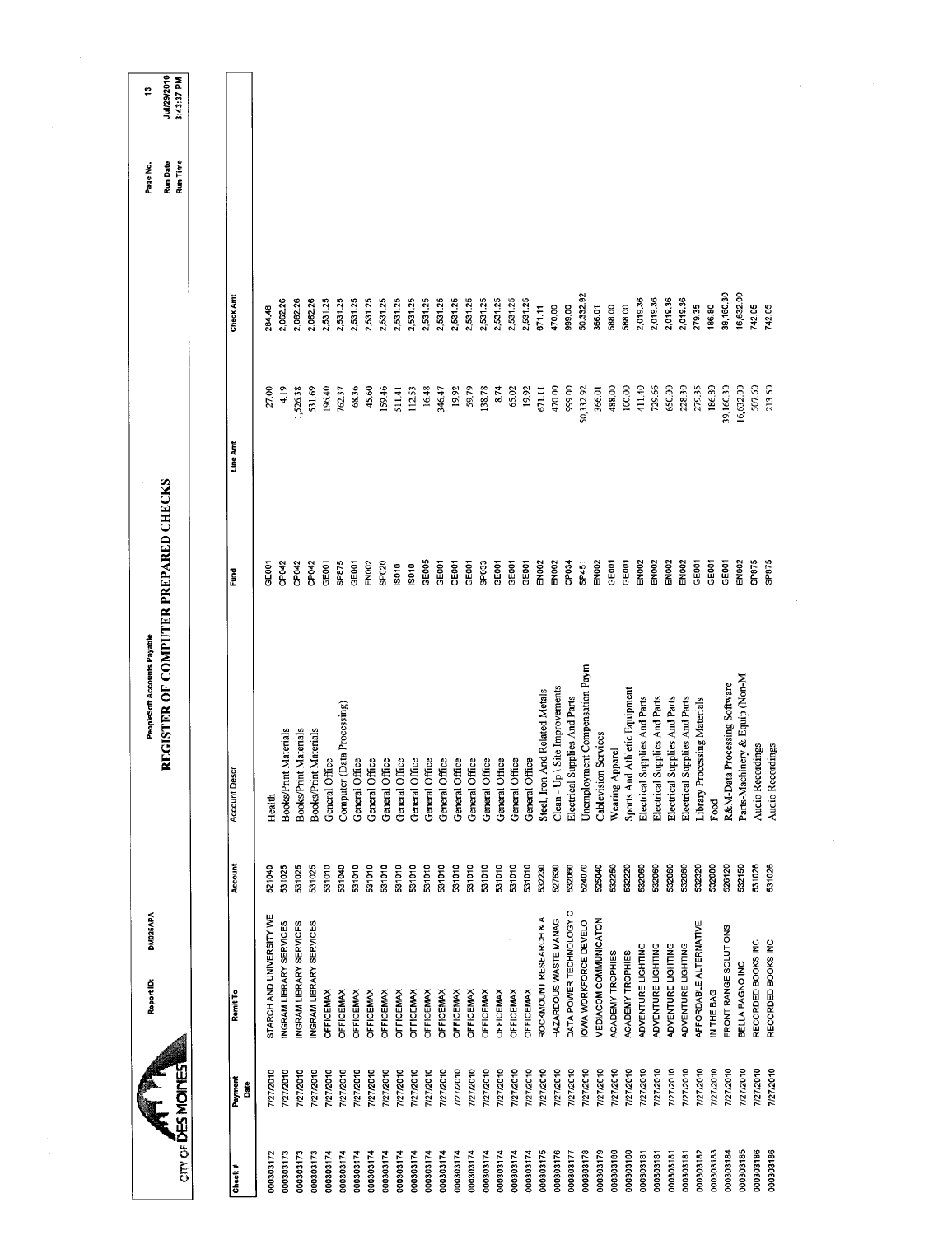|                          |                 | <b>DM025APA</b><br>Report ID: |         | REGISTER OF COMPUTER PREPARED CHECKS<br>PeopleSoft Accounts Payable |                   |           |           | Run Date<br>Page No. | Jul/29/2010<br>g |
|--------------------------|-----------------|-------------------------------|---------|---------------------------------------------------------------------|-------------------|-----------|-----------|----------------------|------------------|
| <b>OTH OF DES MOINES</b> |                 |                               |         |                                                                     |                   |           |           | Run Time             | 3:43:37 PM       |
|                          |                 |                               |         |                                                                     |                   |           |           |                      |                  |
| Check#                   | Payment<br>Date | Remit To                      | Account | Account Descr                                                       | Ĕ                 | Line Am   | Check Am  |                      |                  |
| 000303172                | 7/27/2010       | STARCH AND UNIVERSITY WE      | 521040  | Health                                                              | GEOOT             | 27.00     | 284.48    |                      |                  |
| 000303173                | 7/27/2010       | INGRAM LIBRARY SERVICES       | 531025  | Books/Print Materials                                               | CP042             | 4.19      | 2,062.26  |                      |                  |
| 000303173                | 7/27/2010       | INGRAM LIBRARY SERVICES       | 531025  | Books/Print Materials                                               | CP042             | 526.38    | 2,062.26  |                      |                  |
| 000303173                | 7/27/2010       | INGRAM LIBRARY SERVICES       | 531025  | Books/Print Materials                                               | CP042             | 531.69    | 2,062.26  |                      |                  |
| 000303174                | 7/27/2010       | <b>OFFICEMAX</b>              | 531010  | General Office                                                      | GE001             | 196.40    | 2,531.25  |                      |                  |
| 000303174                | 7/27/2010       | <b>OFFICEMAX</b>              | 531040  | Computer (Data Processing)                                          | SP875             | 762.37    | 2,531.25  |                      |                  |
| 000303174                | 7/27/2010       | <b>OFFICEMAX</b>              | 531010  | General Office                                                      | GE <sub>001</sub> | 68.36     | 2,531.25  |                      |                  |
| 000303174                | 7/27/2010       | <b>OFFICEMAX</b>              | 531010  | General Office                                                      | EN002             | 45.60     | 2,531.25  |                      |                  |
| 000303174                | 7/27/2010       | <b>OFFICEMAX</b>              | 531010  | $\bullet$<br>General Offic                                          | SP <sub>020</sub> | 159.46    | 2,531.25  |                      |                  |
| 000303174                | 7/27/2010       | <b>OFFICEMAX</b>              | 531010  | General Office                                                      | IS010             | 511.41    | 2,531.25  |                      |                  |
| 000303174                | 7/27/2010       | OFFICEMAX                     | 531010  | General Office                                                      | IS010             | 112.53    | 2,531.25  |                      |                  |
| 000303174                | 7/27/2010       | <b>OFFICEMAX</b>              | 531010  | General Office                                                      | GE005             | 16.48     | 2,531.25  |                      |                  |
| 000303174                | 7/27/2010       | <b>OFFICEMAX</b>              | 531010  | General Office                                                      | GE001             | 346.47    | 2,531.25  |                      |                  |
| 000303174                | 7/27/2010       | <b>OFFICEMAX</b>              | 531010  | General Office                                                      | GE001             | 19.92     | 2,531.25  |                      |                  |
| 000303174                | 7/27/2010       | <b>OFFICEMAX</b>              | 531010  | General Office                                                      | GE001             | 59.79     | 2,531.25  |                      |                  |
| 000303174                | 7/27/2010       | <b>OFFICEMAX</b>              | 531010  | General Office                                                      | SP033             | 138.78    | 2,53125   |                      |                  |
| 000303174                | 7/27/2010       | <b>OFFICEMAX</b>              | 531010  | General Office                                                      | GE001             | 8.74      | 2,531.25  |                      |                  |
| 000303174                | 7/27/2010       | <b>OFFICEMAX</b>              | 531010  | General Office                                                      | GE001             | 65.02     | 2,531.25  |                      |                  |
| 000303174                | 7/27/2010       | <b>OFFICEMAX</b>              | 531010  | General Office                                                      | GE001             | 19.92     | 2,53125   |                      |                  |
| 000303175                | 7/27/2010       | ROCKMOUNT RESEARCH & A        | 532230  | Steel, Iron And Related Metals                                      | EN002             | 671.11    | 671.11    |                      |                  |
| 000303176                | 7/27/2010       | HAZARDOUS WASTE MANAG         | 527630  | Clean - Up \ Site Improvements                                      | <b>EN002</b>      | 470.00    | 470.00    |                      |                  |
| 000303177                | 7/27/2010       | DATA POWER TECHNOLOGY C       | 532060  | Electrical Supplies And Parts                                       | CP034             | 999.00    | 999.00    |                      |                  |
| 000303178                | 7/27/2010       | IOWA WORKFORCE DEVELO         | 524070  | Unemployment Compensation Paym                                      | SP451             | 50,332.92 | 50,332.92 |                      |                  |
| 000303179                | 7/27/2010       | MEDIACOM COMMUNICATON         | 525040  | <b>Cablevision Services</b>                                         | EN002             | 366.01    | 366.01    |                      |                  |
| 000303180                | 7/27/2010       | ACADEMY TROPHIES              | 532250  | Wearing Apparel                                                     | GE001             | 488.00    | 588.00    |                      |                  |
| 000303180                | 7/27/2010       | ACADEMY TROPHIES              | 532220  | Sports And Athletic Equipment                                       | GEOOT             | 100.00    | 588.00    |                      |                  |
| 000303181                | 7/27/2010       | ADVENTURE LIGHTING            | 532060  | Electrical Supplies And Parts                                       | EN002             | 411.40    | 2,019.36  |                      |                  |
| 000303181                | 7/27/2010       | ADVENTURE LIGHTING            | 532060  | Electrical Supplies And Parts                                       | <b>EN002</b>      | 729.66    | 2,019.36  |                      |                  |
| 000303181                | 7/27/2010       | ADVENTURE LIGHTING            | 532060  | Electrical Supplies And Parts                                       | <b>EN002</b>      | 650.00    | 2,019.36  |                      |                  |
| 000303181                | 7/27/2010       | ADVENTURE LIGHTING            | 532060  | Electrical Supplies And Parts                                       | <b>EN002</b>      | 228.30    | 2,019.36  |                      |                  |
| 000303182                | 7/27/2010       | AFFORDABLE ALTERNATIVE        | 532320  | Library Processing Materials                                        | GE001             | 279.35    | 279.35    |                      |                  |
| 000303183                | 7/27/2010       | IN THE BAG                    | 532080  | Food                                                                | GE001             | 186.80    | 186,80    |                      |                  |
| 000303184                | 7/27/2010       | FRONT RANGE SOLUTIONS         | 526120  | R&M-Data Processing Software                                        | GE001             | 39,160.30 | 39,160.30 |                      |                  |
| 000303185                | 7772010         | BELLA BAGNO INC               | 532150  | Parts-Machinery & Equip (Non-M                                      | EN002             | 16,632.00 | 16,632.00 |                      |                  |
| 000303186                | 7/27/2010       | RECORDED BOOKS INC            | 531026  | Audio Recordings                                                    | SP875             | 507.60    | 742.05    |                      |                  |
| 000303186                | 7/27/2010       | RECORDED BOOKS INC            | 531026  | Audio Recordings                                                    | <b>SP875</b>      | 213.60    | 742.05    |                      |                  |
|                          |                 |                               |         |                                                                     |                   |           |           |                      |                  |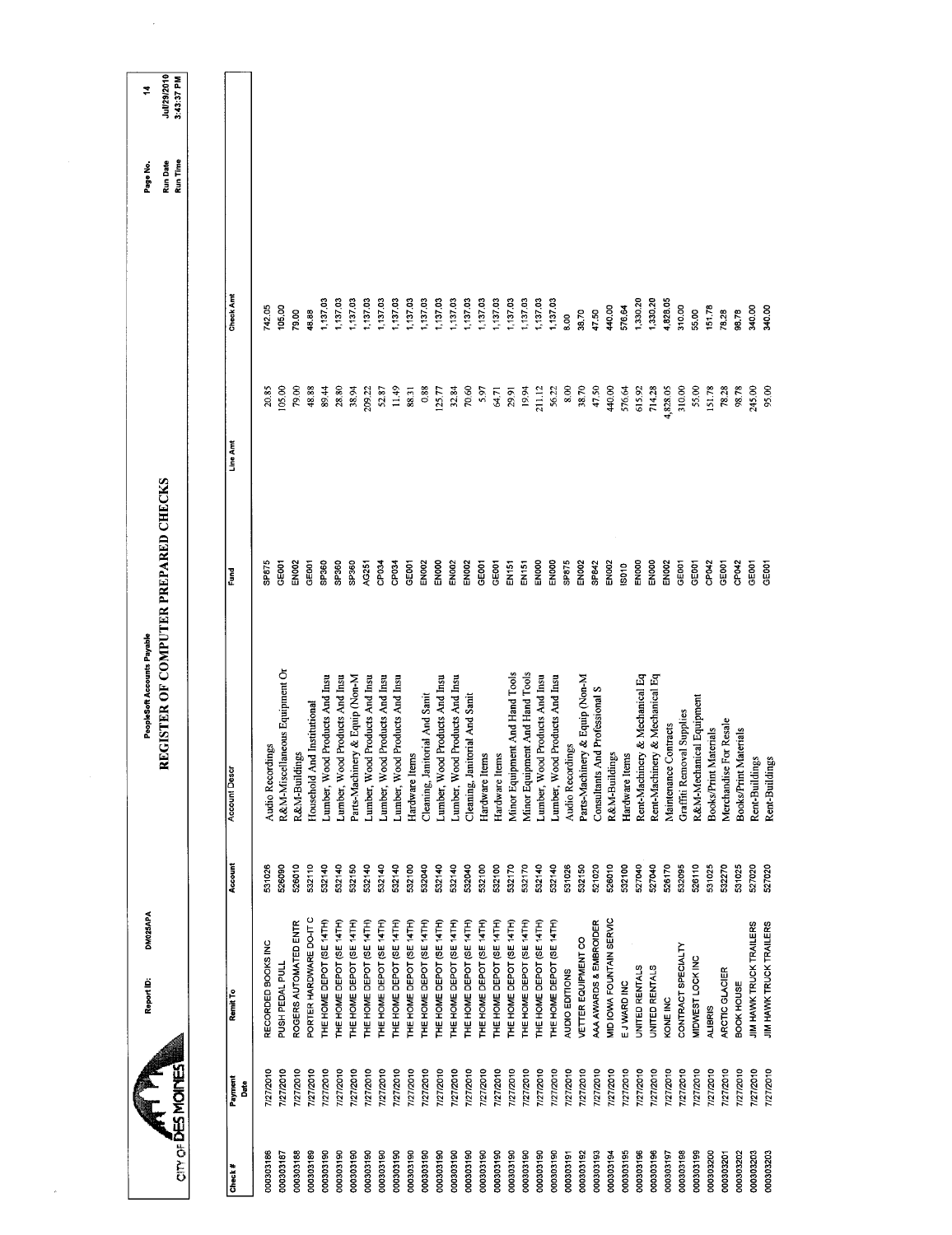|                          |         | REGISTER OF COMPUTER PREPARED CHECKS |                    |          |               | Run Date | Jul/29/2010 |
|--------------------------|---------|--------------------------------------|--------------------|----------|---------------|----------|-------------|
|                          |         |                                      |                    |          |               | Run Time | 3:43:37 PM  |
|                          |         |                                      |                    |          |               |          |             |
| Remit To                 | Account | <b>Account Descr</b>                 | Fund               | Line Amt | Check Amt     |          |             |
| RECORDED BOOKS INC       | 531026  | Audio Recordings                     | SP875              | 20.85    | 742 05        |          |             |
| PUSH PEDAL PULL          | 526090  | R&M-Miscellaneous Equipment Or       | GE001              | 05.00    | 105.00        |          |             |
| ROGERS AUTOMATED ENTR    | 526010  | R&M-Buildings                        | EN002              | 79.00    | 79.00         |          |             |
| PORTER HARDWARE DO-IT C  | 532110  | Household And Institutional          | GE001              | 48.88    | 48.88         |          |             |
| THE HOME DEPOT (SE 14TH) | 532140  | Lumber, Wood Products And Insu       | SP360              | 89.44    | 1,137.03      |          |             |
| THE HOME DEPOT (SE 14TH) | 532140  | Lumber, Wood Products And Insu       | SP360              | 28.80    | 1,137.03      |          |             |
| THE HOME DEPOT (SE 14TH) | 532150  | Parts-Machinery & Equip (Non-M       | SP360              | 38.94    | 1,137.03      |          |             |
| THE HOME DEPOT (SE 14TH) | 532140  | Lumber, Wood Products And Insu       | AG251              | 209.22   | 1,137.03      |          |             |
| THE HOME DEPOT (SE 14TH) | 532140  | Lumber, Wood Products And Insu       | CP034              | 52.87    | 1,137.03      |          |             |
| THE HOME DEPOT (SE 14TH) | 532140  | Lumber, Wood Products And Insu       | CP <sub>034</sub>  | 11.49    | 1,137.03      |          |             |
| THE HOME DEPOT (SE 14TH) | 532100  | Hardware Items                       | GE001              | 88.31    | 1,137.03      |          |             |
| THE HOME DEPOT (SE 14TH) | 532040  | Cleaning, Janitorial And Sanit       | EN <sub>00</sub>   | 0.88     | 1,137.03      |          |             |
| THE HOME DEPOT (SE 14TH) | 532140  | Lumber, Wood Products And Insu       | ENOO               | 125.77   | 1,137.03      |          |             |
| THE HOME DEPOT (SE 14TH) | 532140  | Lumber, Wood Products And Insu       | EN002              | 32.84    | 1,137.03      |          |             |
| THE HOME DEPOT (SE 14TH) | 532040  | Cleaning, Janitorial And Sanit       | EN <sub>002</sub>  | 70.60    | 1,137.03      |          |             |
| THE HOME DEPOT (SE 14TH) | 532100  | Hardware Items                       | GEOOT              | 5.97     | 1,137.03      |          |             |
| THE HOME DEPOT (SE 14TH) | 532100  | Hardware Items                       | GEOOT              | 64.71    | 1,137.03      |          |             |
| THE HOME DEPOT (SE 14TH) | 532170  | Minor Equipment And Hand Tools       | EN <sub>151</sub>  | 29.91    | 1,13703       |          |             |
| THE HOME DEPOT (SE 14TH) | 532170  | Minor Equipment And Hand Tools       | EN <sub>151</sub>  | 19.94    | 1,137.03      |          |             |
| THE HOME DEPOT (SE 14TH) | 532140  | Lumber, Wood Products And Insu       | ENOOO              | 211.12   | 1,137.03      |          |             |
| THE HOME DEPOT (SE 14TH) | 532140  | Lumber, Wood Products And Insu       | ENDOO              | 56.22    | 1,137.03      |          |             |
| AUDIO EDITIONS           | 531026  | Audio Recordings                     | SP875              | 8.00     | $\frac{8}{3}$ |          |             |
| VETTER EQUIPMENT CO      | 532150  | Parts-Machinery & Equip (Non-M       | EN002              | 38.70    | 38.70         |          |             |
| AAA AWARDS & EMBROIDER   | 521020  | Consultants And Professional S       | SP842              | 47.50    | 47.50         |          |             |
| MID IOWA FOUNTAIN SERVIC | 526010  | R&M-Buildings                        | EN <sub>00</sub> 2 | 440.00   | 440.00        |          |             |
| EJ WARD INC              | 532100  | Hardware Items                       | S010               | 576.64   | 576.64        |          |             |
| UNITED RENTALS           | 527040  | Rent-Machinery & Mechanical Eq       | ENDOO              | 615.92   | 1,330.20      |          |             |
| <b>JNITED RENTALS</b>    | 527040  | Rent-Machinery & Mechanical Eq       | ENOOD              | 714.28   | 1,330,20      |          |             |
| KONE INC                 | 526170  | Maintenance Contracts                | EN <sub>002</sub>  | 4,828.05 | 4,828.05      |          |             |
| CONTRACT SPECIALTY       | 532095  | <b>Graffiti Removal Supplies</b>     | GE001              | 310.00   | 310.00        |          |             |
| MIDWEST LOCK INC         | 526110  | R&M-Mechanical Equipment             | GE <sub>001</sub>  | 55.00    | 55.00         |          |             |
| <b>ALIBRIS</b>           | 531025  | Books/Print Materials                | CP042              | 151.78   | 15178         |          |             |
| ARCTIC GLACIER           | 532270  | Merchandise For Resale               | GEOOT              | 78.28    | 78.28         |          |             |
| <b>BOOK HOUSE</b>        | 531025  | Books/Print Materials                | CP042              | 98.78    | 98.78         |          |             |
| JIM HAWK TRUCK TRAILERS  | 527020  | Rent-Buildings                       | <b>GEOOT</b>       | 245.00   | 340.00        |          |             |
| JIM HAWK TRUCK TRAILERS  | 527020  | Rent-Buildings                       | <b>GEOOT</b>       | 95.00    |               |          |             |